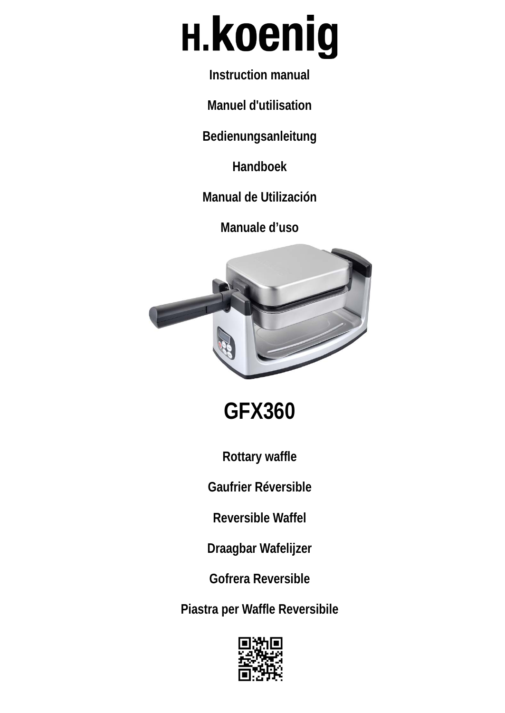# **H.koenig**

**Instruction manual** 

**Manuel d'utilisation** 

**Bedienungsanleitung** 

**Handboek** 

**Manual de Utilización** 

**Manuale d'uso**



**GFX360**

**Rottary waffle** 

**Gaufrier Réversible**

**Reversible Waffel**

**Draagbar Wafelijzer**

**Gofrera Reversible**

**Piastra per Waffle Reversibile**

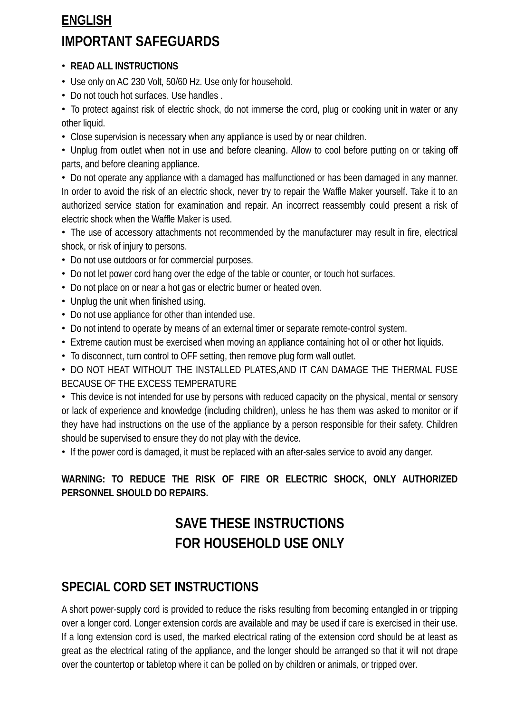# **ENGLISH IMPORTANT SAFEGUARDS**

#### • **READ ALL INSTRUCTIONS**

- Use only on AC 230 Volt, 50/60 Hz. Use only for household.
- Do not touch hot surfaces. Use handles .

• To protect against risk of electric shock, do not immerse the cord, plug or cooking unit in water or any other liquid.

• Close supervision is necessary when any appliance is used by or near children.

• Unplug from outlet when not in use and before cleaning. Allow to cool before putting on or taking off parts, and before cleaning appliance.

• Do not operate any appliance with a damaged has malfunctioned or has been damaged in any manner. In order to avoid the risk of an electric shock, never try to repair the Waffle Maker yourself. Take it to an authorized service station for examination and repair. An incorrect reassembly could present a risk of electric shock when the Waffle Maker is used.

• The use of accessory attachments not recommended by the manufacturer may result in fire, electrical shock, or risk of injury to persons.

- Do not use outdoors or for commercial purposes.
- Do not let power cord hang over the edge of the table or counter, or touch hot surfaces.
- Do not place on or near a hot gas or electric burner or heated oven.
- Unplug the unit when finished using.
- Do not use appliance for other than intended use.
- Do not intend to operate by means of an external timer or separate remote-control system.
- Extreme caution must be exercised when moving an appliance containing hot oil or other hot liquids.
- To disconnect, turn control to OFF setting, then remove plug form wall outlet.

• DO NOT HEAT WITHOUT THE INSTALLED PLATES,AND IT CAN DAMAGE THE THERMAL FUSE BECAUSE OF THE EXCESS TEMPERATURE

• This device is not intended for use by persons with reduced capacity on the physical, mental or sensory or lack of experience and knowledge (including children), unless he has them was asked to monitor or if they have had instructions on the use of the appliance by a person responsible for their safety. Children should be supervised to ensure they do not play with the device.

• If the power cord is damaged, it must be replaced with an after-sales service to avoid any danger.

#### **WARNING: TO REDUCE THE RISK OF FIRE OR ELECTRIC SHOCK, ONLY AUTHORIZED PERSONNEL SHOULD DO REPAIRS.**

# **SAVE THESE INSTRUCTIONS FOR HOUSEHOLD USE ONLY**

## **SPECIAL CORD SET INSTRUCTIONS**

A short power-supply cord is provided to reduce the risks resulting from becoming entangled in or tripping over a longer cord. Longer extension cords are available and may be used if care is exercised in their use. If a long extension cord is used, the marked electrical rating of the extension cord should be at least as great as the electrical rating of the appliance, and the longer should be arranged so that it will not drape over the countertop or tabletop where it can be polled on by children or animals, or tripped over.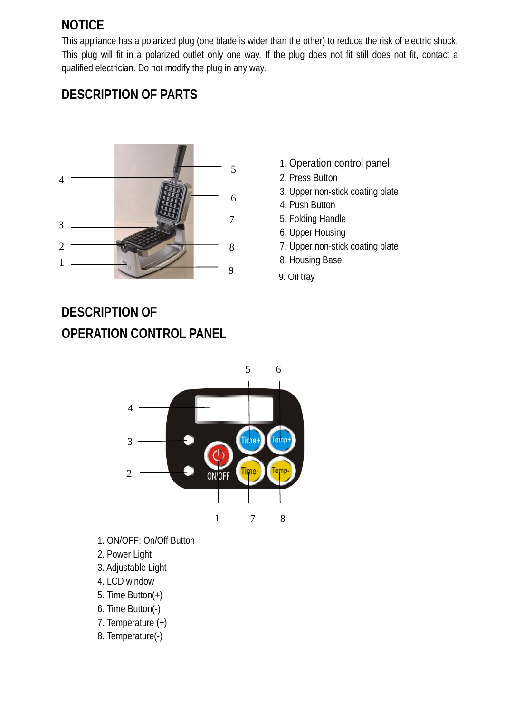# **NOTICE**

This appliance has a polarized plug (one blade is wider than the other) to reduce the risk of electric shock. This plug will fit in a polarized outlet only one way. If the plug does not fit still does not fit, contact a qualified electrician. Do not modify the plug in any way.





- 1. Operation control panel
- 2. Press Button
- 3. Upper non-stick coating plate
- 4. Push Button
- 5. Folding Handle
- 6. Upper Housing
- 7. Upper non-stick coating plate
- 
- 9. Oil tray

# **DESCRIPTION OF OPERATION CONTROL PANEL**



- 1. ON/OFF: On/Off Button
- 2. Power Light
- 3. Adjustable Light
- 4. LCD window
- 5. Time Button(+)
- 6. Time Button(-)
- 7. Temperature (+)
- 8. Temperature(-)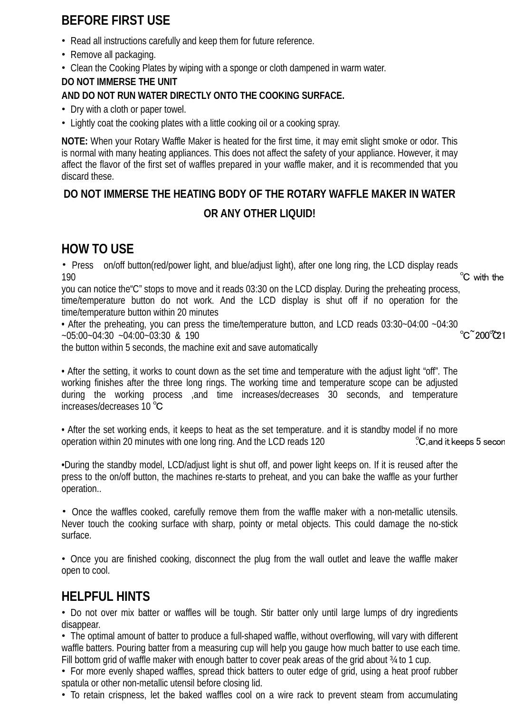# **BEFORE FIRST USE**

- Read all instructions carefully and keep them for future reference.
- Remove all packaging.
- Clean the Cooking Plates by wiping with a sponge or cloth dampened in warm water.

#### **DO NOT IMMERSE THE UNIT**

#### **AND DO NOT RUN WATER DIRECTLY ONTO THE COOKING SURFACE.**

- Dry with a cloth or paper towel.
- Lightly coat the cooking plates with a little cooking oil or a cooking spray.

**NOTE:** When your Rotary Waffle Maker is heated for the first time, it may emit slight smoke or odor. This is normal with many heating appliances. This does not affect the safety of your appliance. However, it may affect the flavor of the first set of waffles prepared in your waffle maker, and it is recommended that you discard these.

## **DO NOT IMMERSE THE HEATING BODY OF THE ROTARY WAFFLE MAKER IN WATER OR ANY OTHER LIQUID!**

## **HOW TO USE**

• Press on/off button(red/power light, and blue/adjust light), after one long ring, the LCD display reads  $190$   $\degree$  C with the

you can notice the"C" stops to move and it reads 03:30 on the LCD display. During the preheating process, time/temperature button do not work. And the LCD display is shut off if no operation for the time/temperature button within 20 minutes

• After the preheating, you can press the time/temperature button, and LCD reads 03:30~04:00 ~04:30<br>C 200 21 ~05:00~04:30 ~04:00~03:30 & 190 ℃~200℃~21

the button within 5 seconds, the machine exit and save automatically

• After the setting, it works to count down as the set time and temperature with the adjust light "off". The working finishes after the three long rings. The working time and temperature scope can be adjusted during the working process ,and time increases/decreases 30 seconds, and temperature increases/decreases 10 ℃

• After the set working ends, it keeps to heat as the set temperature. and it is standby model if no more operation within 20 minutes with one long ring. And the LCD reads 120 C. and it keeps 5 secon

•During the standby model, LCD/adjust light is shut off, and power light keeps on. If it is reused after the press to the on/off button, the machines re-starts to preheat, and you can bake the waffle as your further operation..

• Once the waffles cooked, carefully remove them from the waffle maker with a non-metallic utensils. Never touch the cooking surface with sharp, pointy or metal objects. This could damage the no-stick surface.

• Once you are finished cooking, disconnect the plug from the wall outlet and leave the waffle maker open to cool.

## **HELPFUL HINTS**

• Do not over mix batter or waffles will be tough. Stir batter only until large lumps of dry ingredients disappear.

• The optimal amount of batter to produce a full-shaped waffle, without overflowing, will vary with different waffle batters. Pouring batter from a measuring cup will help you gauge how much batter to use each time. Fill bottom grid of waffle maker with enough batter to cover peak areas of the grid about 34 to 1 cup.

• For more evenly shaped waffles, spread thick batters to outer edge of grid, using a heat proof rubber spatula or other non-metallic utensil before closing lid.

• To retain crispness, let the baked waffles cool on a wire rack to prevent steam from accumulating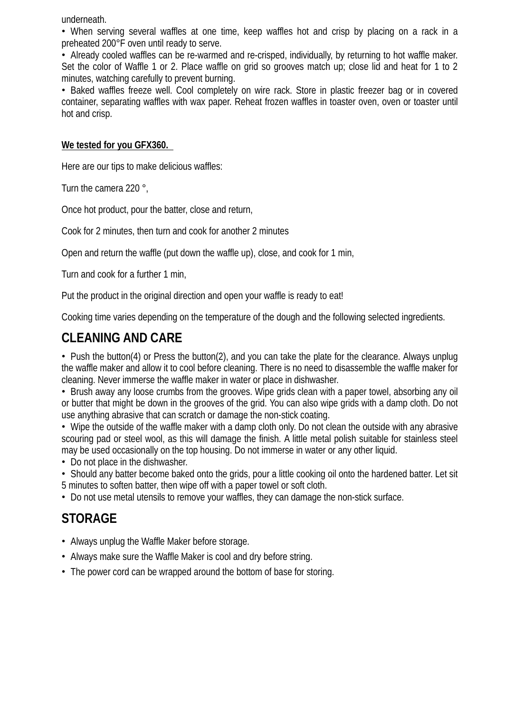underneath.

• When serving several waffles at one time, keep waffles hot and crisp by placing on a rack in a preheated 200°F oven until ready to serve.

• Already cooled waffles can be re-warmed and re-crisped, individually, by returning to hot waffle maker. Set the color of Waffle 1 or 2. Place waffle on grid so grooves match up; close lid and heat for 1 to 2 minutes, watching carefully to prevent burning.

• Baked waffles freeze well. Cool completely on wire rack. Store in plastic freezer bag or in covered container, separating waffles with wax paper. Reheat frozen waffles in toaster oven, oven or toaster until hot and crisp.

#### **We tested for you GFX360.**

Here are our tips to make delicious waffles:

Turn the camera 220 °,

Once hot product, pour the batter, close and return,

Cook for 2 minutes, then turn and cook for another 2 minutes

Open and return the waffle (put down the waffle up), close, and cook for 1 min,

Turn and cook for a further 1 min,

Put the product in the original direction and open your waffle is ready to eat!

Cooking time varies depending on the temperature of the dough and the following selected ingredients.

## **CLEANING AND CARE**

• Push the button(4) or Press the button(2), and you can take the plate for the clearance. Always unplug the waffle maker and allow it to cool before cleaning. There is no need to disassemble the waffle maker for cleaning. Never immerse the waffle maker in water or place in dishwasher.

• Brush away any loose crumbs from the grooves. Wipe grids clean with a paper towel, absorbing any oil or butter that might be down in the grooves of the grid. You can also wipe grids with a damp cloth. Do not use anything abrasive that can scratch or damage the non-stick coating.

• Wipe the outside of the waffle maker with a damp cloth only. Do not clean the outside with any abrasive scouring pad or steel wool, as this will damage the finish. A little metal polish suitable for stainless steel may be used occasionally on the top housing. Do not immerse in water or any other liquid.

• Do not place in the dishwasher.

• Should any batter become baked onto the grids, pour a little cooking oil onto the hardened batter. Let sit 5 minutes to soften batter, then wipe off with a paper towel or soft cloth.

• Do not use metal utensils to remove your waffles, they can damage the non-stick surface.

## **STORAGE**

- Always unplug the Waffle Maker before storage.
- Always make sure the Waffle Maker is cool and dry before string.
- The power cord can be wrapped around the bottom of base for storing.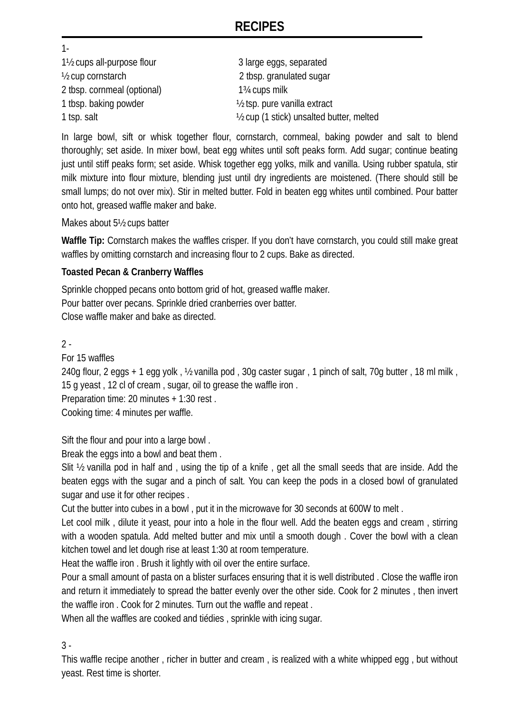## **RECIPES**

1- 1<sup>1</sup>/<sub>2</sub> cups all-purpose flour 3 large eggs, separated ½ cup cornstarch 2 tbsp. granulated sugar 2 tbsp. cornmeal (optional) 1¾ cups milk 1 tbsp. baking powder ½ tsp. pure vanilla extract 1 tsp. salt 1 tsp. salt 1 tsp. salt 2 to 1 stick) unsalted butter, melted

In large bowl, sift or whisk together flour, cornstarch, cornmeal, baking powder and salt to blend thoroughly; set aside. In mixer bowl, beat egg whites until soft peaks form. Add sugar; continue beating just until stiff peaks form; set aside. Whisk together egg yolks, milk and vanilla. Using rubber spatula, stir milk mixture into flour mixture, blending just until dry ingredients are moistened. (There should still be small lumps; do not over mix). Stir in melted butter. Fold in beaten egg whites until combined. Pour batter onto hot, greased waffle maker and bake.

Makes about 5½ cups batter

**Waffle Tip:** Cornstarch makes the waffles crisper. If you don't have cornstarch, you could still make great waffles by omitting cornstarch and increasing flour to 2 cups. Bake as directed.

#### **Toasted Pecan & Cranberry Waffles**

Sprinkle chopped pecans onto bottom grid of hot, greased waffle maker. Pour batter over pecans. Sprinkle dried cranberries over batter. Close waffle maker and bake as directed.

 $2 -$ 

For 15 waffles

240g flour, 2 eggs + 1 egg yolk , ½ vanilla pod , 30g caster sugar , 1 pinch of salt, 70g butter , 18 ml milk , 15 g yeast , 12 cl of cream , sugar, oil to grease the waffle iron .

Preparation time: 20 minutes + 1:30 rest .

Cooking time: 4 minutes per waffle.

Sift the flour and pour into a large bowl .

Break the eggs into a bowl and beat them .

Slit ½ vanilla pod in half and , using the tip of a knife , get all the small seeds that are inside. Add the beaten eggs with the sugar and a pinch of salt. You can keep the pods in a closed bowl of granulated sugar and use it for other recipes .

Cut the butter into cubes in a bowl , put it in the microwave for 30 seconds at 600W to melt .

Let cool milk , dilute it yeast, pour into a hole in the flour well. Add the beaten eggs and cream , stirring with a wooden spatula. Add melted butter and mix until a smooth dough . Cover the bowl with a clean kitchen towel and let dough rise at least 1:30 at room temperature.

Heat the waffle iron . Brush it lightly with oil over the entire surface.

Pour a small amount of pasta on a blister surfaces ensuring that it is well distributed . Close the waffle iron and return it immediately to spread the batter evenly over the other side. Cook for 2 minutes , then invert the waffle iron . Cook for 2 minutes. Turn out the waffle and repeat .

When all the waffles are cooked and tiédies , sprinkle with icing sugar.

3 -

This waffle recipe another , richer in butter and cream , is realized with a white whipped egg , but without yeast. Rest time is shorter.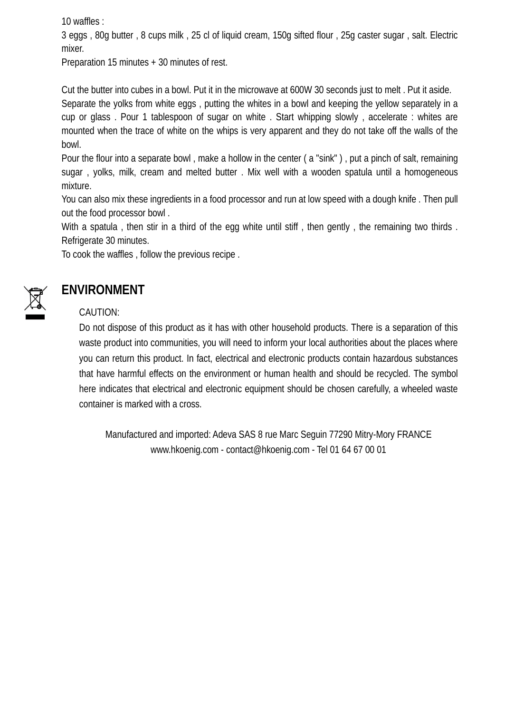10 waffles :

3 eggs , 80g butter , 8 cups milk , 25 cl of liquid cream, 150g sifted flour , 25g caster sugar , salt. Electric mixer.

Preparation 15 minutes + 30 minutes of rest.

Cut the butter into cubes in a bowl. Put it in the microwave at 600W 30 seconds just to melt . Put it aside. Separate the yolks from white eggs , putting the whites in a bowl and keeping the yellow separately in a cup or glass . Pour 1 tablespoon of sugar on white . Start whipping slowly , accelerate : whites are mounted when the trace of white on the whips is very apparent and they do not take off the walls of the bowl.

Pour the flour into a separate bowl , make a hollow in the center ( a "sink" ) , put a pinch of salt, remaining sugar , yolks, milk, cream and melted butter . Mix well with a wooden spatula until a homogeneous mixture.

You can also mix these ingredients in a food processor and run at low speed with a dough knife . Then pull out the food processor bowl .

With a spatula, then stir in a third of the egg white until stiff, then gently, the remaining two thirds. Refrigerate 30 minutes.

To cook the waffles , follow the previous recipe .



# **ENVIRONMENT**

#### CAUTION:

Do not dispose of this product as it has with other household products. There is a separation of this waste product into communities, you will need to inform your local authorities about the places where you can return this product. In fact, electrical and electronic products contain hazardous substances that have harmful effects on the environment or human health and should be recycled. The symbol here indicates that electrical and electronic equipment should be chosen carefully, a wheeled waste container is marked with a cross.

Manufactured and imported: Adeva SAS 8 rue Marc Seguin 77290 Mitry-Mory FRANCE www.hkoenig.com - contact@hkoenig.com - Tel 01 64 67 00 01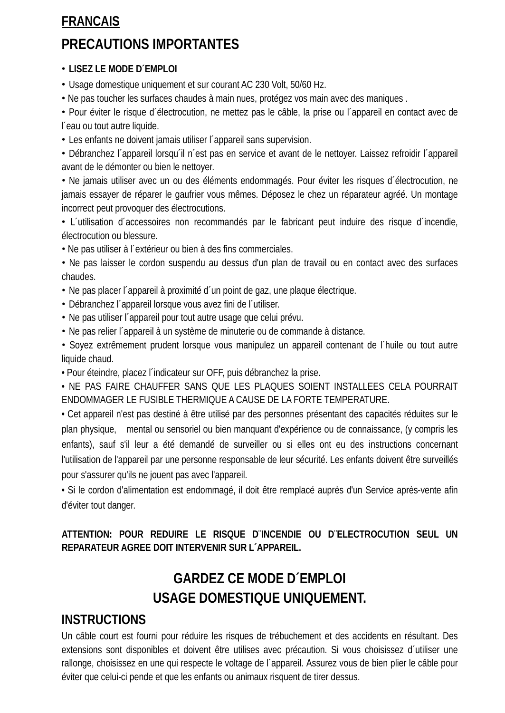## **FRANCAIS**

# **PRECAUTIONS IMPORTANTES**

#### • **LISEZ LE MODE D´EMPLOI**

• Usage domestique uniquement et sur courant AC 230 Volt, 50/60 Hz.

• Ne pas toucher les surfaces chaudes à main nues, protégez vos main avec des maniques .

• Pour éviter le risque d´électrocution, ne mettez pas le câble, la prise ou l´appareil en contact avec de l´eau ou tout autre liquide.

• Les enfants ne doivent jamais utiliser l´appareil sans supervision.

• Débranchez l´appareil lorsqu´il n´est pas en service et avant de le nettoyer. Laissez refroidir l´appareil avant de le démonter ou bien le nettoyer.

• Ne jamais utiliser avec un ou des éléments endommagés. Pour éviter les risques d´électrocution, ne jamais essayer de réparer le gaufrier vous mêmes. Déposez le chez un réparateur agréé. Un montage incorrect peut provoquer des électrocutions.

• L´utilisation d´accessoires non recommandés par le fabricant peut induire des risque d´incendie, électrocution ou blessure.

• Ne pas utiliser à l´extérieur ou bien à des fins commerciales.

• Ne pas laisser le cordon suspendu au dessus d'un plan de travail ou en contact avec des surfaces chaudes.

• Ne pas placer l´appareil à proximité d´un point de gaz, une plaque électrique.

- Débranchez l´appareil lorsque vous avez fini de l´utiliser.
- Ne pas utiliser l´appareil pour tout autre usage que celui prévu.
- Ne pas relier l´appareil à un système de minuterie ou de commande à distance.

• Soyez extrêmement prudent lorsque vous manipulez un appareil contenant de l´huile ou tout autre liquide chaud.

• Pour éteindre, placez l´indicateur sur OFF, puis débranchez la prise.

• NE PAS FAIRE CHAUFFER SANS QUE LES PLAQUES SOIENT INSTALLEES CELA POURRAIT ENDOMMAGER LE FUSIBLE THERMIQUE A CAUSE DE LA FORTE TEMPERATURE.

• Cet appareil n'est pas destiné à être utilisé par des personnes présentant des capacités réduites sur le plan physique, mental ou sensoriel ou bien manquant d'expérience ou de connaissance, (y compris les enfants), sauf s'il leur a été demandé de surveiller ou si elles ont eu des instructions concernant l'utilisation de l'appareil par une personne responsable de leur sécurité. Les enfants doivent être surveillés pour s'assurer qu'ils ne jouent pas avec l'appareil.

• Si le cordon d'alimentation est endommagé, il doit être remplacé auprès d'un Service après-vente afin d'éviter tout danger.

**ATTENTION: POUR REDUIRE LE RISQUE D¨INCENDIE OU D¨ELECTROCUTION SEUL UN REPARATEUR AGREE DOIT INTERVENIR SUR L´APPAREIL.**

# **GARDEZ CE MODE D´EMPLOI USAGE DOMESTIQUE UNIQUEMENT.**

## **INSTRUCTIONS**

Un câble court est fourni pour réduire les risques de trébuchement et des accidents en résultant. Des extensions sont disponibles et doivent être utilises avec précaution. Si vous choisissez d´utiliser une rallonge, choisissez en une qui respecte le voltage de l´appareil. Assurez vous de bien plier le câble pour éviter que celui-ci pende et que les enfants ou animaux risquent de tirer dessus.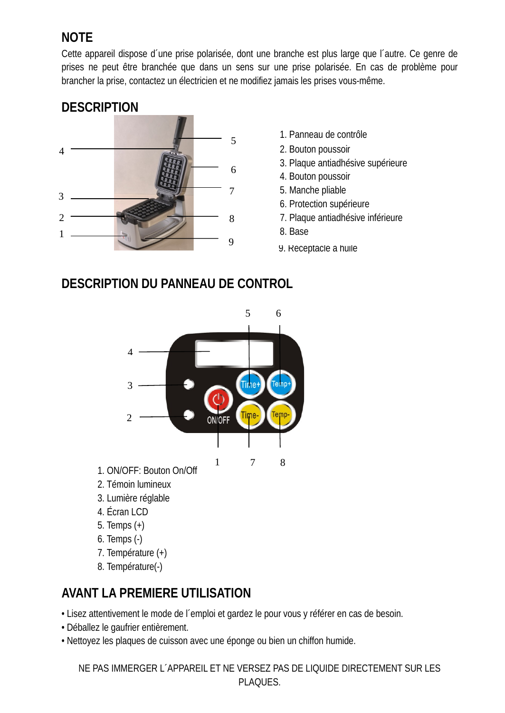# **NOTE**

Cette appareil dispose d´une prise polarisée, dont une branche est plus large que l´autre. Ce genre de prises ne peut être branchée que dans un sens sur une prise polarisée. En cas de problème pour brancher la prise, contactez un électricien et ne modifiez jamais les prises vous-même.



- 1. Panneau de contrôle
- 2. Bouton poussoir
- 3. Plaque antiadhésive supérieure
- 4. Bouton poussoir
- 5. Manche pliable
- 6. Protection supérieure
- 7. Plaque antiadhésive inférieure
- 
- 9. Réceptacle à huile

## **DESCRIPTION DU PANNEAU DE CONTROL**



- 1. ON/OFF: Bouton On/Off
- 2. Témoin lumineux
- 3. Lumière réglable
- 4. Écran LCD
- 5. Temps (+)
- 6. Temps (-)
- 7. Température (+)
- 8. Température(-)

# **AVANT LA PREMIERE UTILISATION**

• Lisez attentivement le mode de l´emploi et gardez le pour vous y référer en cas de besoin.

- Déballez le gaufrier entièrement.
- Nettoyez les plaques de cuisson avec une éponge ou bien un chiffon humide.

NE PAS IMMERGER L´APPAREIL ET NE VERSEZ PAS DE LIQUIDE DIRECTEMENT SUR LES PLAQUES.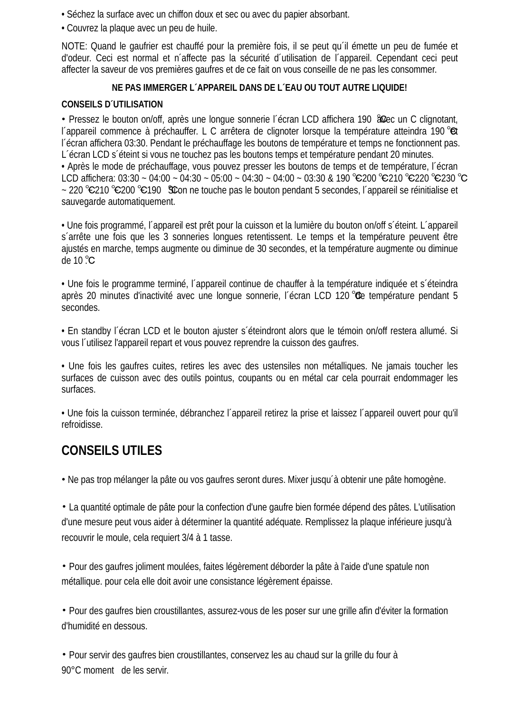- Séchez la surface avec un chiffon doux et sec ou avec du papier absorbant.
- Couvrez la plaque avec un peu de huile.

NOTE: Quand le gaufrier est chauffé pour la première fois, il se peut qu´il émette un peu de fumée et d'odeur. Ceci est normal et n´affecte pas la sécurité d´utilisation de l´appareil. Cependant ceci peut affecter la saveur de vos premières gaufres et de ce fait on vous conseille de ne pas les consommer.

#### **NE PAS IMMERGER L´APPAREIL DANS DE L´EAU OU TOUT AUTRE LIQUIDE!**

#### **CONSEILS D´UTILISATION**

• Pressez le bouton on/off, après une longue sonnerie l'écran LCD affichera 190 & c un C clignotant, l´appareil commence à préchauffer. L C arrêtera de clignoter lorsque la température atteindra 190 ℃et l´écran affichera 03:30. Pendant le préchauffage les boutons de température et temps ne fonctionnent pas. L´écran LCD s´éteint si vous ne touchez pas les boutons temps et température pendant 20 minutes. • Après le mode de préchauffage, vous pouvez presser les boutons de temps et de température, l´écran LCD affichera: 03:30 ~ 04:00 ~ 04:30 ~ 05:00 ~ 04:30 ~ 04:00 ~ 03:30 & 190 °C200 °C210 °C220 °C230 °C ~ 220 °C210 °C200 °C190 Scon ne touche pas le bouton pendant 5 secondes, l´appareil se réinitialise et . sauvegarde automatiquement.

• Une fois programmé, l´appareil est prêt pour la cuisson et la lumière du bouton on/off s´éteint. L´appareil s´arrête une fois que les 3 sonneries longues retentissent. Le temps et la température peuvent être ajustés en marche, temps augmente ou diminue de 30 secondes, et la température augmente ou diminue de 10 ℃.

• Une fois le programme terminé, l´appareil continue de chauffer à la température indiquée et s´éteindra après 20 minutes d'inactivité avec une longue sonnerie, l'écran LCD 120 ℃de température pendant 5 secondes.

• En standby l´écran LCD et le bouton ajuster s´éteindront alors que le témoin on/off restera allumé. Si vous l´utilisez l'appareil repart et vous pouvez reprendre la cuisson des gaufres.

• Une fois les gaufres cuites, retires les avec des ustensiles non métalliques. Ne jamais toucher les surfaces de cuisson avec des outils pointus, coupants ou en métal car cela pourrait endommager les surfaces.

• Une fois la cuisson terminée, débranchez l´appareil retirez la prise et laissez l´appareil ouvert pour qu'il refroidisse.

# **CONSEILS UTILES**

• Ne pas trop mélanger la pâte ou vos gaufres seront dures. Mixer jusqu´à obtenir une pâte homogène.

• La quantité optimale de pâte pour la confection d'une gaufre bien formée dépend des pâtes. L'utilisation d'une mesure peut vous aider à déterminer la quantité adéquate. Remplissez la plaque inférieure jusqu'à recouvrir le moule, cela requiert 3/4 à 1 tasse.

• Pour des gaufres joliment moulées, faites légèrement déborder la pâte à l'aide d'une spatule non métallique. pour cela elle doit avoir une consistance légèrement épaisse.

• Pour des gaufres bien croustillantes, assurez-vous de les poser sur une grille afin d'éviter la formation d'humidité en dessous.

• Pour servir des gaufres bien croustillantes, conservez les au chaud sur la grille du four à 90°C moment de les servir.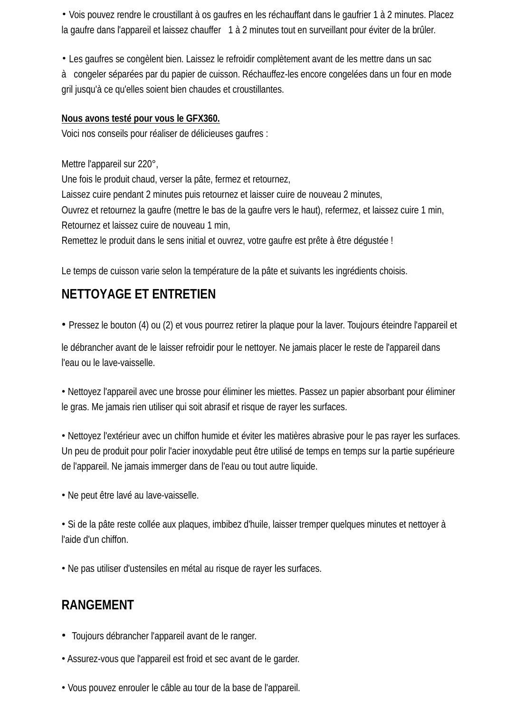• Vois pouvez rendre le croustillant à os gaufres en les réchauffant dans le gaufrier 1 à 2 minutes. Placez la gaufre dans l'appareil et laissez chauffer 1 à 2 minutes tout en surveillant pour éviter de la brûler.

• Les gaufres se congèlent bien. Laissez le refroidir complètement avant de les mettre dans un sac

à congeler séparées par du papier de cuisson. Réchauffez-les encore congelées dans un four en mode gril jusqu'à ce qu'elles soient bien chaudes et croustillantes.

#### **Nous avons testé pour vous le GFX360.**

Voici nos conseils pour réaliser de délicieuses gaufres :

Mettre l'appareil sur 220°, Une fois le produit chaud, verser la pâte, fermez et retournez, Laissez cuire pendant 2 minutes puis retournez et laisser cuire de nouveau 2 minutes, Ouvrez et retournez la gaufre (mettre le bas de la gaufre vers le haut), refermez, et laissez cuire 1 min, Retournez et laissez cuire de nouveau 1 min, Remettez le produit dans le sens initial et ouvrez, votre gaufre est prête à être dégustée !

Le temps de cuisson varie selon la température de la pâte et suivants les ingrédients choisis.

# **NETTOYAGE ET ENTRETIEN**

• Pressez le bouton (4) ou (2) et vous pourrez retirer la plaque pour la laver. Toujours éteindre l'appareil et

le débrancher avant de le laisser refroidir pour le nettoyer. Ne jamais placer le reste de l'appareil dans l'eau ou le lave-vaisselle.

• Nettoyez l'appareil avec une brosse pour éliminer les miettes. Passez un papier absorbant pour éliminer le gras. Me jamais rien utiliser qui soit abrasif et risque de rayer les surfaces.

• Nettoyez l'extérieur avec un chiffon humide et éviter les matières abrasive pour le pas rayer les surfaces. Un peu de produit pour polir l'acier inoxydable peut être utilisé de temps en temps sur la partie supérieure de l'appareil. Ne jamais immerger dans de l'eau ou tout autre liquide.

• Ne peut être lavé au lave-vaisselle.

• Si de la pâte reste collée aux plaques, imbibez d'huile, laisser tremper quelques minutes et nettoyer à l'aide d'un chiffon.

• Ne pas utiliser d'ustensiles en métal au risque de rayer les surfaces.

# **RANGEMENT**

- Toujours débrancher l'appareil avant de le ranger.
- Assurez-vous que l'appareil est froid et sec avant de le garder.
- Vous pouvez enrouler le câble au tour de la base de l'appareil.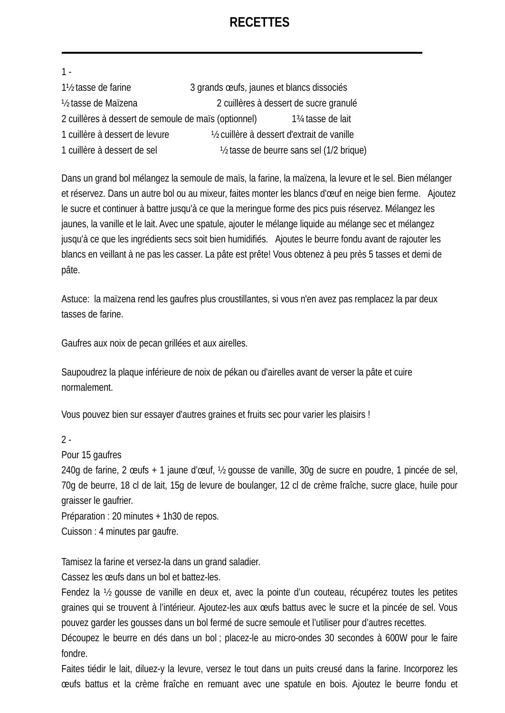## **RECETTES**

| $1 -$                                                |                                             |                                             |
|------------------------------------------------------|---------------------------------------------|---------------------------------------------|
| 1½ tasse de farine                                   | 3 grands œufs, jaunes et blancs dissociés   |                                             |
| 1/ <sub>2</sub> tasse de Maïzena                     |                                             | 2 cuillères à dessert de sucre granulé      |
| 2 cuillères à dessert de semoule de maïs (optionnel) |                                             | 1 <sup>3</sup> / <sub>4</sub> tasse de lait |
| 1 cuillère à dessert de levure                       | 1/2 cuillère à dessert d'extrait de vanille |                                             |
| 1 cuillère à dessert de sel                          |                                             | 1/2 tasse de beurre sans sel (1/2 brique)   |

Dans un grand bol mélangez la semoule de maïs, la farine, la maïzena, la levure et le sel. Bien mélanger et réservez. Dans un autre bol ou au mixeur, faites monter les blancs d'œuf en neige bien ferme. Ajoutez le sucre et continuer à battre jusqu'à ce que la meringue forme des pics puis réservez. Mélangez les jaunes, la vanille et le lait. Avec une spatule, ajouter le mélange liquide au mélange sec et mélangez jusqu'à ce que les ingrédients secs soit bien humidifiés. Ajoutes le beurre fondu avant de rajouter les blancs en veillant à ne pas les casser. La pâte est prête! Vous obtenez à peu près 5 tasses et demi de pâte.

Astuce: la maïzena rend les gaufres plus croustillantes, si vous n'en avez pas remplacez la par deux tasses de farine.

Gaufres aux noix de pecan grillées et aux airelles.

Saupoudrez la plaque inférieure de noix de pékan ou d'airelles avant de verser la pâte et cuire normalement.

Vous pouvez bien sur essayer d'autres graines et fruits sec pour varier les plaisirs !

 $2 -$ 

Pour 15 gaufres

240g de farine, 2 œufs + 1 jaune d'œuf, ½ gousse de vanille, 30g de sucre en poudre, 1 pincée de sel, 70g de beurre, 18 cl de lait, 15g de levure de boulanger, 12 cl de crème fraîche, sucre glace, huile pour graisser le gaufrier.

Préparation : 20 minutes + 1h30 de repos.

Cuisson : 4 minutes par gaufre.

Tamisez la farine et versez-la dans un grand saladier.

Cassez les œufs dans un bol et battez-les.

Fendez la ½ gousse de vanille en deux et, avec la pointe d'un couteau, récupérez toutes les petites graines qui se trouvent à l'intérieur. Ajoutez-les aux œufs battus avec le sucre et la pincée de sel. Vous pouvez garder les gousses dans un bol fermé de sucre semoule et l'utiliser pour d'autres recettes.

Découpez le beurre en dés dans un bol ; placez-le au micro-ondes 30 secondes à 600W pour le faire fondre.

Faites tiédir le lait, diluez-y la levure, versez le tout dans un puits creusé dans la farine. Incorporez les œufs battus et la crème fraîche en remuant avec une spatule en bois. Ajoutez le beurre fondu et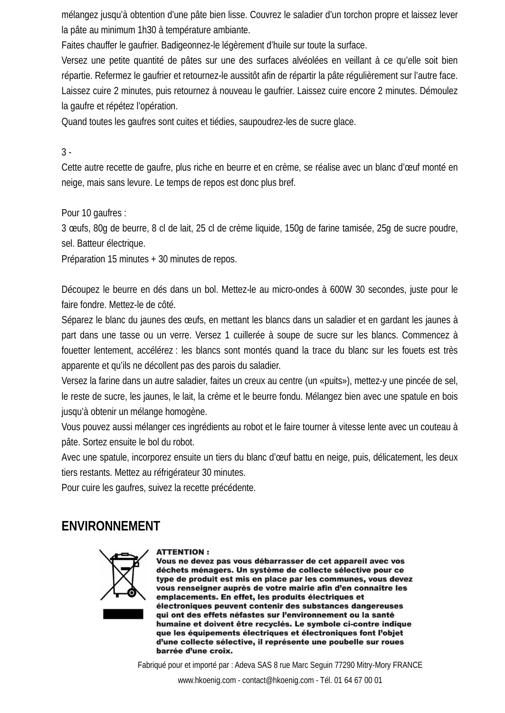mélangez jusqu'à obtention d'une pâte bien lisse. Couvrez le saladier d'un torchon propre et laissez lever la pâte au minimum 1h30 à température ambiante.

Faites chauffer le gaufrier. Badigeonnez-le légèrement d'huile sur toute la surface.

Versez une petite quantité de pâtes sur une des surfaces alvéolées en veillant à ce qu'elle soit bien répartie. Refermez le gaufrier et retournez-le aussitôt afin de répartir la pâte régulièrement sur l'autre face. Laissez cuire 2 minutes, puis retournez à nouveau le gaufrier. Laissez cuire encore 2 minutes. Démoulez la gaufre et répétez l'opération.

Quand toutes les gaufres sont cuites et tiédies, saupoudrez-les de sucre glace.

#### 3 -

Cette autre recette de gaufre, plus riche en beurre et en crème, se réalise avec un blanc d'œuf monté en neige, mais sans levure. Le temps de repos est donc plus bref.

Pour 10 gaufres :

3 œufs, 80g de beurre, 8 cl de lait, 25 cl de crème liquide, 150g de farine tamisée, 25g de sucre poudre, sel. Batteur électrique.

Préparation 15 minutes + 30 minutes de repos.

Découpez le beurre en dés dans un bol. Mettez-le au micro-ondes à 600W 30 secondes, juste pour le faire fondre. Mettez-le de côté.

Séparez le blanc du jaunes des œufs, en mettant les blancs dans un saladier et en gardant les jaunes à part dans une tasse ou un verre. Versez 1 cuillerée à soupe de sucre sur les blancs. Commencez à fouetter lentement, accélérez : les blancs sont montés quand la trace du blanc sur les fouets est très apparente et qu'ils ne décollent pas des parois du saladier.

Versez la farine dans un autre saladier, faites un creux au centre (un «puits»), mettez-y une pincée de sel, le reste de sucre, les jaunes, le lait, la crème et le beurre fondu. Mélangez bien avec une spatule en bois jusqu'à obtenir un mélange homogène.

Vous pouvez aussi mélanger ces ingrédients au robot et le faire tourner à vitesse lente avec un couteau à pâte. Sortez ensuite le bol du robot.

Avec une spatule, incorporez ensuite un tiers du blanc d'œuf battu en neige, puis, délicatement, les deux tiers restants. Mettez au réfrigérateur 30 minutes.

Pour cuire les gaufres, suivez la recette précédente.

## **ENVIRONNEMENT**



#### **ATTENTION:**

Vous ne devez pas vous débarrasser de cet appareil avec vos déchets ménagers. Un système de collecte sélective pour ce type de produit est mis en place par les communes, vous devez vous renseigner auprès de votre mairie afin d'en connaître les emplacements. En effet, les produits électriques et électroniques peuvent contenir des substances dangereuses qui ont des effets néfastes sur l'environnement ou la santé humaine et doivent être recyclés. Le symbole ci-contre indique que les équipements électriques et électroniques font l'objet d'une collecte sélective, il représente une poubelle sur roues barrée d'une croix.

Fabriqué pour et importé par : Adeva SAS 8 rue Marc Seguin 77290 Mitry-Mory FRANCE

www.hkoenig.com - contact@hkoenig.com - Tél. 01 64 67 00 01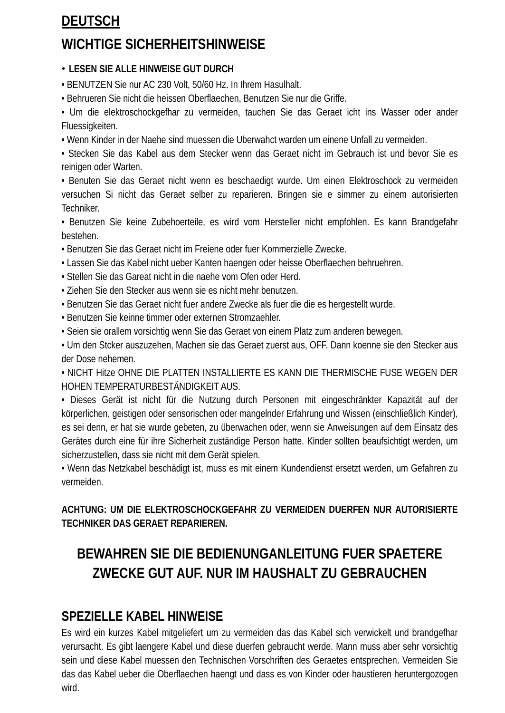# **DEUTSCH**

# **WICHTIGE SICHERHEITSHINWEISE**

#### • **LESEN SIE ALLE HINWEISE GUT DURCH**

• BENUTZEN Sie nur AC 230 Volt, 50/60 Hz. In Ihrem Hasulhalt.

• Behrueren Sie nicht die heissen Oberflaechen, Benutzen Sie nur die Griffe.

• Um die elektroschockgefhar zu vermeiden, tauchen Sie das Geraet icht ins Wasser oder ander Fluessigkeiten.

• Wenn Kinder in der Naehe sind muessen die Uberwahct warden um einene Unfall zu vermeiden.

• Stecken Sie das Kabel aus dem Stecker wenn das Geraet nicht im Gebrauch ist und bevor Sie es reinigen oder Warten.

• Benuten Sie das Geraet nicht wenn es beschaedigt wurde. Um einen Elektroschock zu vermeiden versuchen Si nicht das Geraet selber zu reparieren. Bringen sie e simmer zu einem autorisierten Techniker.

• Benutzen Sie keine Zubehoerteile, es wird vom Hersteller nicht empfohlen. Es kann Brandgefahr bestehen.

• Benutzen Sie das Geraet nicht im Freiene oder fuer Kommerzielle Zwecke.

- Lassen Sie das Kabel nicht ueber Kanten haengen oder heisse Oberflaechen behruehren.
- Stellen Sie das Gareat nicht in die naehe vom Ofen oder Herd.
- Ziehen Sie den Stecker aus wenn sie es nicht mehr benutzen.
- Benutzen Sie das Geraet nicht fuer andere Zwecke als fuer die die es hergestellt wurde.
- Benutzen Sie keinne timmer oder externen Stromzaehler.
- Seien sie orallem vorsichtig wenn Sie das Geraet von einem Platz zum anderen bewegen.

• Um den Stcker auszuzehen, Machen sie das Geraet zuerst aus, OFF. Dann koenne sie den Stecker aus der Dose nehemen.

• NICHT Hitze OHNE DIE PLATTEN INSTALLIERTE ES KANN DIE THERMISCHE FUSE WEGEN DER HOHEN TEMPERATURBESTÄNDIGKEIT AUS.

• Dieses Gerät ist nicht für die Nutzung durch Personen mit eingeschränkter Kapazität auf der körperlichen, geistigen oder sensorischen oder mangelnder Erfahrung und Wissen (einschließlich Kinder), es sei denn, er hat sie wurde gebeten, zu überwachen oder, wenn sie Anweisungen auf dem Einsatz des Gerätes durch eine für ihre Sicherheit zuständige Person hatte. Kinder sollten beaufsichtigt werden, um sicherzustellen, dass sie nicht mit dem Gerät spielen.

• Wenn das Netzkabel beschädigt ist, muss es mit einem Kundendienst ersetzt werden, um Gefahren zu vermeiden.

## **ACHTUNG: UM DIE ELEKTROSCHOCKGEFAHR ZU VERMEIDEN DUERFEN NUR AUTORISIERTE TECHNIKER DAS GERAET REPARIEREN.**

# **BEWAHREN SIE DIE BEDIENUNGANLEITUNG FUER SPAETERE ZWECKE GUT AUF. NUR IM HAUSHALT ZU GEBRAUCHEN**

# **SPEZIELLE KABEL HINWEISE**

Es wird ein kurzes Kabel mitgeliefert um zu vermeiden das das Kabel sich verwickelt und brandgefhar verursacht. Es gibt laengere Kabel und diese duerfen gebraucht werde. Mann muss aber sehr vorsichtig sein und diese Kabel muessen den Technischen Vorschriften des Geraetes entsprechen. Vermeiden Sie das das Kabel ueber die Oberflaechen haengt und dass es von Kinder oder haustieren heruntergozogen wird.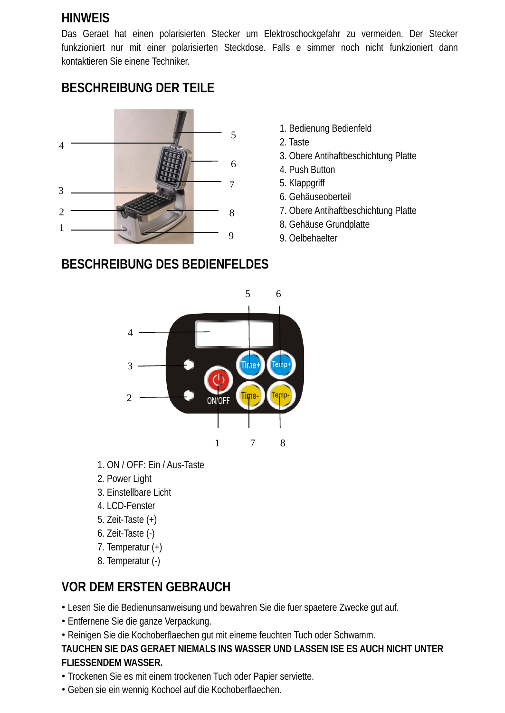## **HINWEIS**

Das Geraet hat einen polarisierten Stecker um Elektroschockgefahr zu vermeiden. Der Stecker funkzioniert nur mit einer polarisierten Steckdose. Falls e simmer noch nicht funkzioniert dann kontaktieren Sie einene Techniker.

# **BESCHREIBUNG DER TEILE**



- 1. Bedienung Bedienfeld
- 2. Taste
- 3. Obere Antihaftbeschichtung Platte
- 4. Push Button
- 5. Klappgriff
- 6. Gehäuseoberteil
- 7. Obere Antihaftbeschichtung Platte
- 8. Gehäuse Grundplatte
- 9. Oelbehaelter



- 1. ON / OFF: Ein / Aus-Taste
- 2. Power Light
- 3. Einstellbare Licht
- 4. LCD-Fenster
- 5. Zeit-Taste (+)
- 6. Zeit-Taste (-)
- 7. Temperatur (+)
- 8. Temperatur (-)

# **VOR DEM ERSTEN GEBRAUCH**

- Lesen Sie die Bedienunsanweisung und bewahren Sie die fuer spaetere Zwecke gut auf.
- Entfernene Sie die ganze Verpackung.
- Reinigen Sie die Kochoberflaechen gut mit eineme feuchten Tuch oder Schwamm.

#### **TAUCHEN SIE DAS GERAET NIEMALS INS WASSER UND LASSEN ISE ES AUCH NICHT UNTER FLIESSENDEM WASSER.**

- Trockenen Sie es mit einem trockenen Tuch oder Papier serviette.
- Geben sie ein wennig Kochoel auf die Kochoberflaechen.

# **BESCHREIBUNG DES BEDIENFELDES**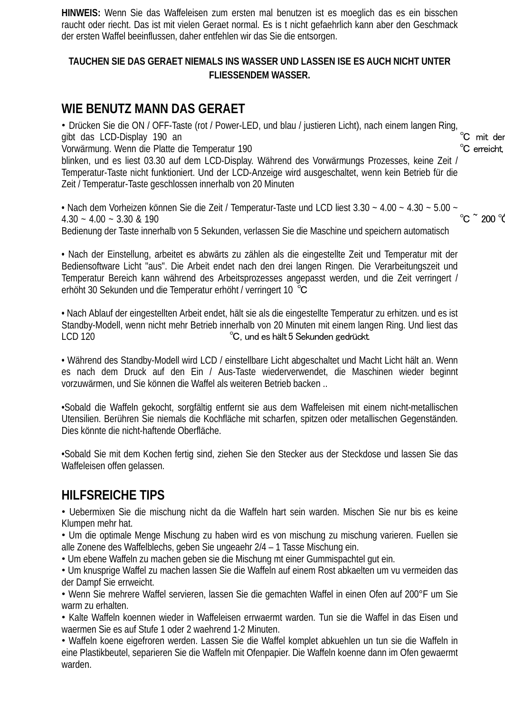**HINWEIS:** Wenn Sie das Waffeleisen zum ersten mal benutzen ist es moeglich das es ein bisschen raucht oder riecht. Das ist mit vielen Geraet normal. Es is t nicht gefaehrlich kann aber den Geschmack der ersten Waffel beeinflussen, daher entfehlen wir das Sie die entsorgen.

#### **TAUCHEN SIE DAS GERAET NIEMALS INS WASSER UND LASSEN ISE ES AUCH NICHT UNTER FLIESSENDEM WASSER.**

## **WIE BENUTZ MANN DAS GERAET**

• Drücken Sie die ON / OFF-Taste (rot / Power-LED, und blau / justieren Licht), nach einem langen Ring,<br>aibt das LCD-Displav 190 an gibt das LCD-Display 190 an <sup>℃</sup> mit der<br>Vorwärmung. Wenn die Platte die Temperatur 190 Vorwärmung. Wenn die Platte die Temperatur 190

blinken, und es liest 03.30 auf dem LCD-Display. Während des Vorwärmungs Prozesses, keine Zeit / Temperatur-Taste nicht funktioniert. Und der LCD-Anzeige wird ausgeschaltet, wenn kein Betrieb für die Zeit / Temperatur-Taste geschlossen innerhalb von 20 Minuten

• Nach dem Vorheizen können Sie die Zeit / Temperatur-Taste und LCD liest 3.30 ~ 4.00 ~ 4.30 ~ 5.00 ~  $^{\circ}$   $^{\circ}$  200  $^{\circ}$  $4.30 - 4.00 - 3.30$  & 190

Bedienung der Taste innerhalb von 5 Sekunden, verlassen Sie die Maschine und speichern automatisch

• Nach der Einstellung, arbeitet es abwärts zu zählen als die eingestellte Zeit und Temperatur mit der Bediensoftware Licht "aus". Die Arbeit endet nach den drei langen Ringen. Die Verarbeitungszeit und Temperatur Bereich kann während des Arbeitsprozesses angepasst werden, und die Zeit verringert / erhöht 30 Sekunden und die Temperatur erhöht / verringert 10 ℃

• Nach Ablauf der eingestellten Arbeit endet, hält sie als die eingestellte Temperatur zu erhitzen. und es ist Standby-Modell, wenn nicht mehr Betrieb innerhalb von 20 Minuten mit einem langen Ring. Und liest das LCD 120<br>C. und es hält 5 Sekunden gedrückt °C, und es hält 5 Sekunden gedrückt.

• Während des Standby-Modell wird LCD / einstellbare Licht abgeschaltet und Macht Licht hält an. Wenn es nach dem Druck auf den Ein / Aus-Taste wiederverwendet, die Maschinen wieder beginnt vorzuwärmen, und Sie können die Waffel als weiteren Betrieb backen ..

•Sobald die Waffeln gekocht, sorgfältig entfernt sie aus dem Waffeleisen mit einem nicht-metallischen Utensilien. Berühren Sie niemals die Kochfläche mit scharfen, spitzen oder metallischen Gegenständen. Dies könnte die nicht-haftende Oberfläche.

•Sobald Sie mit dem Kochen fertig sind, ziehen Sie den Stecker aus der Steckdose und lassen Sie das Waffeleisen offen gelassen.

## **HILFSREICHE TIPS**

• Uebermixen Sie die mischung nicht da die Waffeln hart sein warden. Mischen Sie nur bis es keine Klumpen mehr hat.

• Um die optimale Menge Mischung zu haben wird es von mischung zu mischung varieren. Fuellen sie alle Zonene des Waffelblechs, geben Sie ungeaehr 2/4 – 1 Tasse Mischung ein.

• Um ebene Waffeln zu machen geben sie die Mischung mt einer Gummispachtel gut ein.

• Um knusprige Waffel zu machen lassen Sie die Waffeln auf einem Rost abkaelten um vu vermeiden das der Dampf Sie errweicht.

• Wenn Sie mehrere Waffel servieren, lassen Sie die gemachten Waffel in einen Ofen auf 200°F um Sie warm zu erhalten.

• Kalte Waffeln koennen wieder in Waffeleisen errwaermt warden. Tun sie die Waffel in das Eisen und waermen Sie es auf Stufe 1 oder 2 waehrend 1-2 Minuten.

• Waffeln koene eigefroren werden. Lassen Sie die Waffel komplet abkuehlen un tun sie die Waffeln in eine Plastikbeutel, separieren Sie die Waffeln mit Ofenpapier. Die Waffeln koenne dann im Ofen gewaermt warden.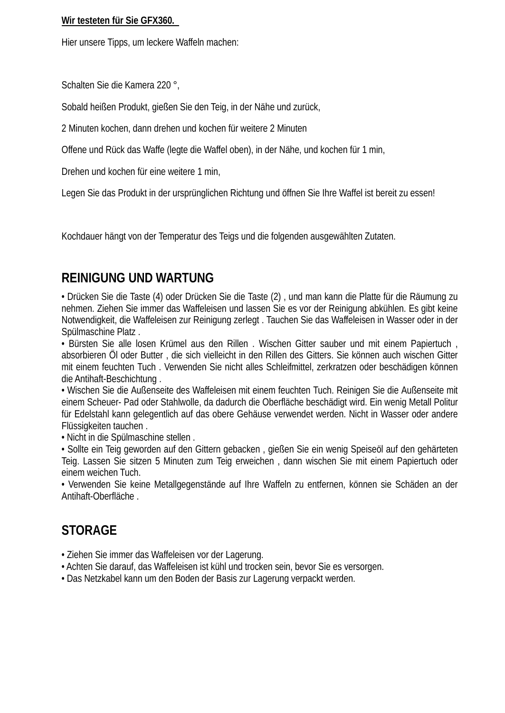#### **Wir testeten für Sie GFX360.**

Hier unsere Tipps, um leckere Waffeln machen:

Schalten Sie die Kamera 220 °,

Sobald heißen Produkt, gießen Sie den Teig, in der Nähe und zurück,

2 Minuten kochen, dann drehen und kochen für weitere 2 Minuten

Offene und Rück das Waffe (legte die Waffel oben), in der Nähe, und kochen für 1 min,

Drehen und kochen für eine weitere 1 min,

Legen Sie das Produkt in der ursprünglichen Richtung und öffnen Sie Ihre Waffel ist bereit zu essen!

Kochdauer hängt von der Temperatur des Teigs und die folgenden ausgewählten Zutaten.

## **REINIGUNG UND WARTUNG**

• Drücken Sie die Taste (4) oder Drücken Sie die Taste (2) , und man kann die Platte für die Räumung zu nehmen. Ziehen Sie immer das Waffeleisen und lassen Sie es vor der Reinigung abkühlen. Es gibt keine Notwendigkeit, die Waffeleisen zur Reinigung zerlegt . Tauchen Sie das Waffeleisen in Wasser oder in der Spülmaschine Platz .

• Bürsten Sie alle losen Krümel aus den Rillen . Wischen Gitter sauber und mit einem Papiertuch , absorbieren Öl oder Butter , die sich vielleicht in den Rillen des Gitters. Sie können auch wischen Gitter mit einem feuchten Tuch . Verwenden Sie nicht alles Schleifmittel, zerkratzen oder beschädigen können die Antihaft-Beschichtung .

• Wischen Sie die Außenseite des Waffeleisen mit einem feuchten Tuch. Reinigen Sie die Außenseite mit einem Scheuer- Pad oder Stahlwolle, da dadurch die Oberfläche beschädigt wird. Ein wenig Metall Politur für Edelstahl kann gelegentlich auf das obere Gehäuse verwendet werden. Nicht in Wasser oder andere Flüssigkeiten tauchen .

• Nicht in die Spülmaschine stellen .

• Sollte ein Teig geworden auf den Gittern gebacken , gießen Sie ein wenig Speiseöl auf den gehärteten Teig. Lassen Sie sitzen 5 Minuten zum Teig erweichen , dann wischen Sie mit einem Papiertuch oder einem weichen Tuch.

• Verwenden Sie keine Metallgegenstände auf Ihre Waffeln zu entfernen, können sie Schäden an der Antihaft-Oberfläche .

## **STORAGE**

- Ziehen Sie immer das Waffeleisen vor der Lagerung.
- Achten Sie darauf, das Waffeleisen ist kühl und trocken sein, bevor Sie es versorgen.
- Das Netzkabel kann um den Boden der Basis zur Lagerung verpackt werden.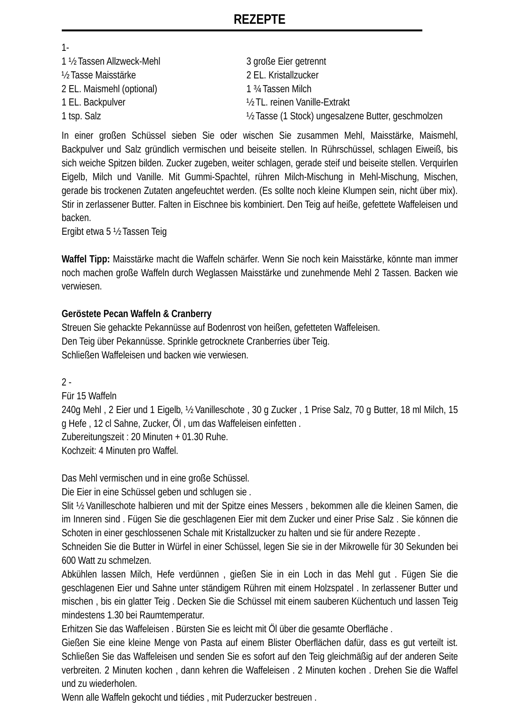## **REZEPTE**

| $1 -$                      |                                                     |
|----------------------------|-----------------------------------------------------|
| 1 1/2 Tassen Allzweck-Mehl | 3 große Eier getrennt                               |
| 1/2 Tasse Maisstärke       | 2 EL. Kristallzucker                                |
| 2 EL. Maismehl (optional)  | 1 <sup>3</sup> Tassen Milch                         |
| 1 EL. Backpulver           | 1/2 TL, reinen Vanille-Extrakt                      |
| 1 tsp. Salz                | 1/2 Tasse (1 Stock) ungesalzene Butter, geschmolzen |

In einer großen Schüssel sieben Sie oder wischen Sie zusammen Mehl, Maisstärke, Maismehl, Backpulver und Salz gründlich vermischen und beiseite stellen. In Rührschüssel, schlagen Eiweiß, bis sich weiche Spitzen bilden. Zucker zugeben, weiter schlagen, gerade steif und beiseite stellen. Verquirlen Eigelb, Milch und Vanille. Mit Gummi-Spachtel, rühren Milch-Mischung in Mehl-Mischung, Mischen, gerade bis trockenen Zutaten angefeuchtet werden. (Es sollte noch kleine Klumpen sein, nicht über mix). Stir in zerlassener Butter. Falten in Eischnee bis kombiniert. Den Teig auf heiße, gefettete Waffeleisen und backen.

Ergibt etwa 5 ½ Tassen Teig

**Waffel Tipp:** Maisstärke macht die Waffeln schärfer. Wenn Sie noch kein Maisstärke, könnte man immer noch machen große Waffeln durch Weglassen Maisstärke und zunehmende Mehl 2 Tassen. Backen wie verwiesen.

#### **Geröstete Pecan Waffeln & Cranberry**

Streuen Sie gehackte Pekannüsse auf Bodenrost von heißen, gefetteten Waffeleisen. Den Teig über Pekannüsse. Sprinkle getrocknete Cranberries über Teig. Schließen Waffeleisen und backen wie verwiesen.

 $2 -$ 

Für 15 Waffeln

240g Mehl , 2 Eier und 1 Eigelb, ½ Vanilleschote , 30 g Zucker , 1 Prise Salz, 70 g Butter, 18 ml Milch, 15 g Hefe , 12 cl Sahne, Zucker, Öl , um das Waffeleisen einfetten . Zubereitungszeit : 20 Minuten + 01.30 Ruhe.

Kochzeit: 4 Minuten pro Waffel.

Das Mehl vermischen und in eine große Schüssel.

Die Eier in eine Schüssel geben und schlugen sie .

Slit ½ Vanilleschote halbieren und mit der Spitze eines Messers , bekommen alle die kleinen Samen, die im Inneren sind . Fügen Sie die geschlagenen Eier mit dem Zucker und einer Prise Salz . Sie können die Schoten in einer geschlossenen Schale mit Kristallzucker zu halten und sie für andere Rezepte .

Schneiden Sie die Butter in Würfel in einer Schüssel, legen Sie sie in der Mikrowelle für 30 Sekunden bei 600 Watt zu schmelzen.

Abkühlen lassen Milch, Hefe verdünnen , gießen Sie in ein Loch in das Mehl gut . Fügen Sie die geschlagenen Eier und Sahne unter ständigem Rühren mit einem Holzspatel . In zerlassener Butter und mischen , bis ein glatter Teig . Decken Sie die Schüssel mit einem sauberen Küchentuch und lassen Teig mindestens 1.30 bei Raumtemperatur.

Erhitzen Sie das Waffeleisen . Bürsten Sie es leicht mit Öl über die gesamte Oberfläche .

Gießen Sie eine kleine Menge von Pasta auf einem Blister Oberflächen dafür, dass es gut verteilt ist. Schließen Sie das Waffeleisen und senden Sie es sofort auf den Teig gleichmäßig auf der anderen Seite verbreiten. 2 Minuten kochen , dann kehren die Waffeleisen . 2 Minuten kochen . Drehen Sie die Waffel und zu wiederholen.

Wenn alle Waffeln gekocht und tiédies , mit Puderzucker bestreuen .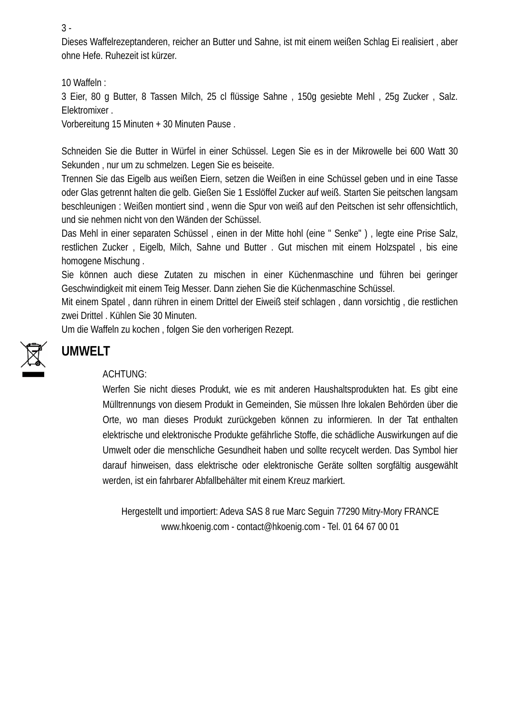3 -

Dieses Waffelrezeptanderen, reicher an Butter und Sahne, ist mit einem weißen Schlag Ei realisiert , aber ohne Hefe. Ruhezeit ist kürzer.

10 Waffeln :

3 Eier, 80 g Butter, 8 Tassen Milch, 25 cl flüssige Sahne , 150g gesiebte Mehl , 25g Zucker , Salz. Elektromixer .

Vorbereitung 15 Minuten + 30 Minuten Pause .

Schneiden Sie die Butter in Würfel in einer Schüssel. Legen Sie es in der Mikrowelle bei 600 Watt 30 Sekunden , nur um zu schmelzen. Legen Sie es beiseite.

Trennen Sie das Eigelb aus weißen Eiern, setzen die Weißen in eine Schüssel geben und in eine Tasse oder Glas getrennt halten die gelb. Gießen Sie 1 Esslöffel Zucker auf weiß. Starten Sie peitschen langsam beschleunigen : Weißen montiert sind , wenn die Spur von weiß auf den Peitschen ist sehr offensichtlich, und sie nehmen nicht von den Wänden der Schüssel.

Das Mehl in einer separaten Schüssel , einen in der Mitte hohl (eine " Senke" ) , legte eine Prise Salz, restlichen Zucker , Eigelb, Milch, Sahne und Butter . Gut mischen mit einem Holzspatel , bis eine homogene Mischung .

Sie können auch diese Zutaten zu mischen in einer Küchenmaschine und führen bei geringer Geschwindigkeit mit einem Teig Messer. Dann ziehen Sie die Küchenmaschine Schüssel.

Mit einem Spatel , dann rühren in einem Drittel der Eiweiß steif schlagen , dann vorsichtig , die restlichen zwei Drittel . Kühlen Sie 30 Minuten.

Um die Waffeln zu kochen , folgen Sie den vorherigen Rezept.



# **UMWELT**

#### ACHTUNG:

Werfen Sie nicht dieses Produkt, wie es mit anderen Haushaltsprodukten hat. Es gibt eine Mülltrennungs von diesem Produkt in Gemeinden, Sie müssen Ihre lokalen Behörden über die Orte, wo man dieses Produkt zurückgeben können zu informieren. In der Tat enthalten elektrische und elektronische Produkte gefährliche Stoffe, die schädliche Auswirkungen auf die Umwelt oder die menschliche Gesundheit haben und sollte recycelt werden. Das Symbol hier darauf hinweisen, dass elektrische oder elektronische Geräte sollten sorgfältig ausgewählt werden, ist ein fahrbarer Abfallbehälter mit einem Kreuz markiert.

Hergestellt und importiert: Adeva SAS 8 rue Marc Seguin 77290 Mitry-Mory FRANCE www.hkoenig.com - contact@hkoenig.com - Tel. 01 64 67 00 01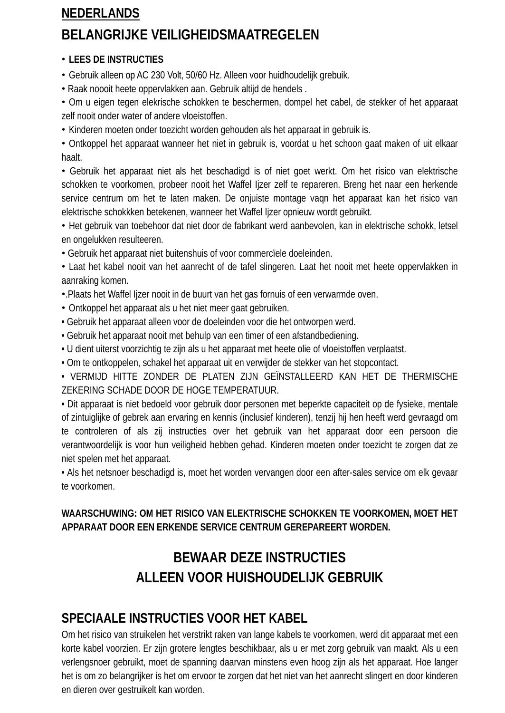# **NEDERLANDS BELANGRIJKE VEILIGHEIDSMAATREGELEN**

#### • **LEES DE INSTRUCTIES**

• Gebruik alleen op AC 230 Volt, 50/60 Hz. Alleen voor huidhoudelijk grebuik.

• Raak noooit heete oppervlakken aan. Gebruik altijd de hendels .

• Om u eigen tegen elekrische schokken te beschermen, dompel het cabel, de stekker of het apparaat zelf nooit onder water of andere vloeistoffen.

• Kinderen moeten onder toezicht worden gehouden als het apparaat in gebruik is.

• Ontkoppel het apparaat wanneer het niet in gebruik is, voordat u het schoon gaat maken of uit elkaar haalt.

• Gebruik het apparaat niet als het beschadigd is of niet goet werkt. Om het risico van elektrische schokken te voorkomen, probeer nooit het Waffel Ijzer zelf te repareren. Breng het naar een herkende service centrum om het te laten maken. De onjuiste montage vaqn het apparaat kan het risico van elektrische schokkken betekenen, wanneer het Waffel Ijzer opnieuw wordt gebruikt.

• Het gebruik van toebehoor dat niet door de fabrikant werd aanbevolen, kan in elektrische schokk, letsel en ongelukken resulteeren.

• Gebruik het apparaat niet buitenshuis of voor commercïele doeleinden.

• Laat het kabel nooit van het aanrecht of de tafel slingeren. Laat het nooit met heete oppervlakken in aanraking komen.

•.Plaats het Waffel Ijzer nooit in de buurt van het gas fornuis of een verwarmde oven.

- Ontkoppel het apparaat als u het niet meer gaat gebruiken.
- Gebruik het apparaat alleen voor de doeleinden voor die het ontworpen werd.
- Gebruik het apparaat nooit met behulp van een timer of een afstandbediening.
- U dient uiterst voorzichtig te zijn als u het apparaat met heete olie of vloeistoffen verplaatst.
- Om te ontkoppelen, schakel het apparaat uit en verwijder de stekker van het stopcontact.

• VERMIJD HITTE ZONDER DE PLATEN ZIJN GEÏNSTALLEERD KAN HET DE THERMISCHE ZEKERING SCHADE DOOR DE HOGE TEMPERATUUR.

• Dit apparaat is niet bedoeld voor gebruik door personen met beperkte capaciteit op de fysieke, mentale of zintuiglijke of gebrek aan ervaring en kennis (inclusief kinderen), tenzij hij hen heeft werd gevraagd om te controleren of als zij instructies over het gebruik van het apparaat door een persoon die verantwoordelijk is voor hun veiligheid hebben gehad. Kinderen moeten onder toezicht te zorgen dat ze niet spelen met het apparaat.

• Als het netsnoer beschadigd is, moet het worden vervangen door een after-sales service om elk gevaar te voorkomen.

## **WAARSCHUWING: OM HET RISICO VAN ELEKTRISCHE SCHOKKEN TE VOORKOMEN, MOET HET APPARAAT DOOR EEN ERKENDE SERVICE CENTRUM GEREPAREERT WORDEN.**

# **BEWAAR DEZE INSTRUCTIES ALLEEN VOOR HUISHOUDELIJK GEBRUIK**

# **SPECIAALE INSTRUCTIES VOOR HET KABEL**

Om het risico van struikelen het verstrikt raken van lange kabels te voorkomen, werd dit apparaat met een korte kabel voorzien. Er zijn grotere lengtes beschikbaar, als u er met zorg gebruik van maakt. Als u een verlengsnoer gebruikt, moet de spanning daarvan minstens even hoog zijn als het apparaat. Hoe langer het is om zo belangrijker is het om ervoor te zorgen dat het niet van het aanrecht slingert en door kinderen en dieren over gestruikelt kan worden.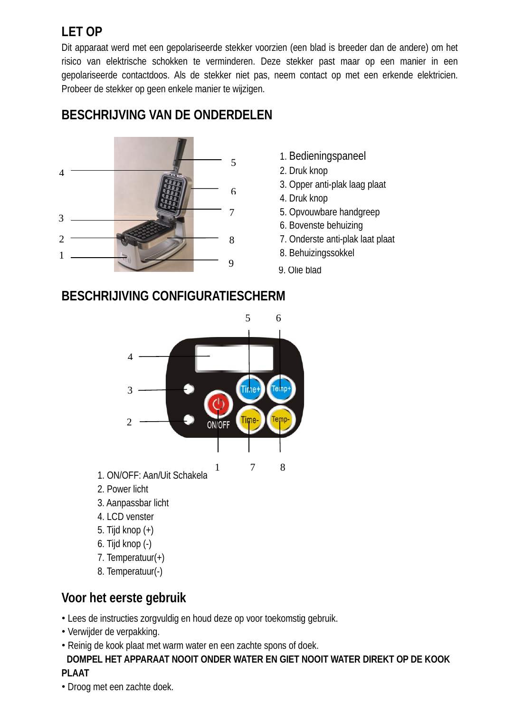# **LET OP**

Dit apparaat werd met een gepolariseerde stekker voorzien (een blad is breeder dan de andere) om het risico van elektrische schokken te verminderen. Deze stekker past maar op een manier in een gepolariseerde contactdoos. Als de stekker niet pas, neem contact op met een erkende elektricien. Probeer de stekker op geen enkele manier te wijzigen.

## 3 1 8. Behuizingssokkel 5 6  $\frac{1}{3}$   $\frac{1}{3}$   $\frac{1}{3}$   $\frac{1}{3}$   $\frac{1}{3}$   $\frac{1}{3}$   $\frac{1}{3}$   $\frac{1}{3}$   $\frac{1}{3}$   $\frac{1}{3}$   $\frac{1}{3}$   $\frac{1}{3}$   $\frac{1}{3}$   $\frac{1}{3}$   $\frac{1}{3}$   $\frac{1}{3}$   $\frac{1}{3}$   $\frac{1}{3}$   $\frac{1}{3}$   $\frac{1}{3}$   $\frac{1}{3}$   $\frac{1}{3}$  8 9  $\mathfrak{D}$ 4

- **BESCHRIJVING VAN DE ONDERDELEN**
- 1. Bedieningspaneel
- 2. Druk knop
- 3. Opper anti-plak laag plaat
- 4. Druk knop
- 5. Opvouwbare handgreep
- 6. Bovenste behuizing
- 7. Onderste anti-plak laat plaat
- 
- 9. Olie blad

## **BESCHRIJIVING CONFIGURATIESCHERM**



- 1. ON/OFF: Aan/Uit Schakela
- 2. Power licht
- 3. Aanpassbar licht
- 4. LCD venster
- 5. Tijd knop (+)
- 6. Tijd knop (-)
- 7. Temperatuur(+)
- 8. Temperatuur(-)

# **Voor het eerste gebruik**

- Lees de instructies zorgvuldig en houd deze op voor toekomstig gebruik.
- Verwijder de verpakking.
- Reinig de kook plaat met warm water en een zachte spons of doek.

#### **DOMPEL HET APPARAAT NOOIT ONDER WATER EN GIET NOOIT WATER DIREKT OP DE KOOK PLAAT**

• Droog met een zachte doek.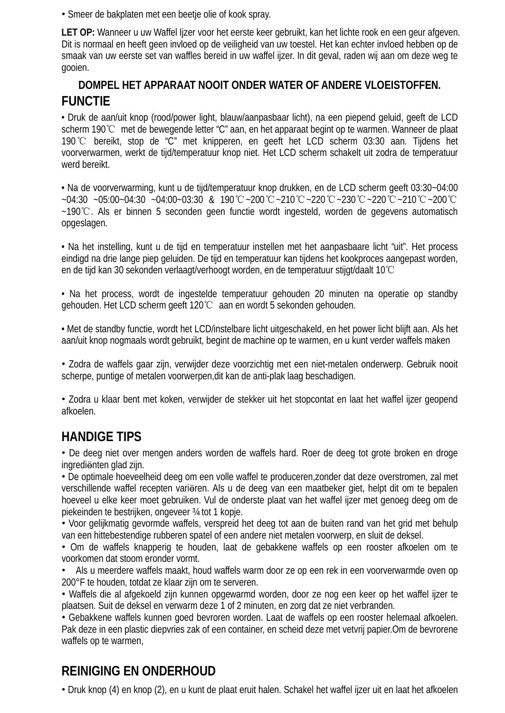• Smeer de bakplaten met een beetje olie of kook spray.

**LET OP:** Wanneer u uw Waffel Ijzer voor het eerste keer gebruikt, kan het lichte rook en een geur afgeven. Dit is normaal en heeft geen invloed op de veiligheid van uw toestel. Het kan echter invloed hebben op de smaak van uw eerste set van waffles bereid in uw waffel ijzer. In dit geval, raden wij aan om deze weg te gooien.

## **DOMPEL HET APPARAAT NOOIT ONDER WATER OF ANDERE VLOEISTOFFEN. FUNCTIE**

• Druk de aan/uit knop (rood/power light, blauw/aanpasbaar licht), na een piepend geluid, geeft de LCD scherm 190℃ met de bewegende letter "C" aan, en het apparaat begint op te warmen. Wanneer de plaat 190℃ bereikt, stop de "C" met knipperen, en geeft het LCD scherm 03:30 aan. Tijdens het voorverwarmen, werkt de tijd/temperatuur knop niet. Het LCD scherm schakelt uit zodra de temperatuur werd bereikt.

• Na de voorverwarming, kunt u de tijd/temperatuur knop drukken, en de LCD scherm geeft 03:30~04:00 ~04:30 ~05:00~04:30 ~04:00~03:30 & 190℃~200℃~210℃~220℃~230℃~220℃~210℃~200℃ ~190℃. Als er binnen 5 seconden geen functie wordt ingesteld, worden de gegevens automatisch opgeslagen.

• Na het instelling, kunt u de tijd en temperatuur instellen met het aanpasbaare licht "uit". Het process eindigd na drie lange piep geluiden. De tijd en temperatuur kan tijdens het kookproces aangepast worden, en de tijd kan 30 sekonden verlaagt/verhoogt worden, en de temperatuur stijgt/daalt 10℃

• Na het process, wordt de ingestelde temperatuur gehouden 20 minuten na operatie op standby gehouden. Het LCD scherm geeft 120℃ aan en wordt 5 sekonden gehouden.

• Met de standby functie, wordt het LCD/instelbare licht uitgeschakeld, en het power licht blijft aan. Als het aan/uit knop nogmaals wordt gebruikt, begint de machine op te warmen, en u kunt verder waffels maken

• Zodra de waffels gaar zijn, verwijder deze voorzichtig met een niet-metalen onderwerp. Gebruik nooit scherpe, puntige of metalen voorwerpen,dit kan de anti-plak laag beschadigen.

• Zodra u klaar bent met koken, verwijder de stekker uit het stopcontat en laat het waffel ijzer geopend afkoelen.

# **HANDIGE TIPS**

• De deeg niet over mengen anders worden de waffels hard. Roer de deeg tot grote broken en droge ingrediӫnten glad zijn.

• De optimale hoeveelheid deeg om een volle waffel te produceren,zonder dat deze overstromen, zal met verschillende waffel recepten variëren. Als u de deeg van een maatbeker giet, helpt dit om te bepalen hoeveel u elke keer moet gebruiken. Vul de onderste plaat van het waffel ijzer met genoeg deeg om de piekeinden te bestrijken, ongeveer ¾ tot 1 kopje.

• Voor gelijkmatig gevormde waffels, verspreid het deeg tot aan de buiten rand van het grid met behulp van een hittebestendige rubberen spatel of een andere niet metalen voorwerp, en sluit de deksel.

• Om de waffels knapperig te houden, laat de gebakkene waffels op een rooster afkoelen om te voorkomen dat stoom eronder vormt.

• Als u meerdere waffels maakt, houd waffels warm door ze op een rek in een voorverwarmde oven op 200°F te houden, totdat ze klaar zijn om te serveren.

• Waffels die al afgekoeld zijn kunnen opgewarmd worden, door ze nog een keer op het waffel ijzer te plaatsen. Suit de deksel en verwarm deze 1 of 2 minuten, en zorg dat ze niet verbranden.

• Gebakkene waffels kunnen goed bevroren worden. Laat de waffels op een rooster helemaal afkoelen. Pak deze in een plastic diepvries zak of een container, en scheid deze met vetvrij papier.Om de bevrorene waffels op te warmen,

# **REINIGING EN ONDERHOUD**

• Druk knop (4) en knop (2), en u kunt de plaat eruit halen. Schakel het waffel ijzer uit en laat het afkoelen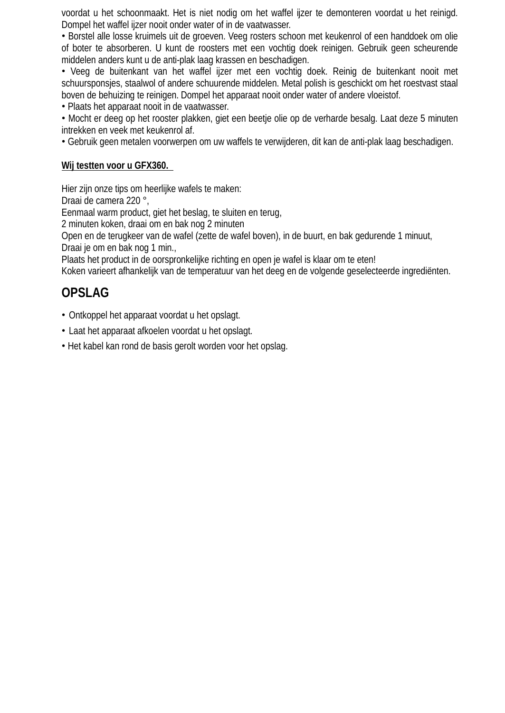voordat u het schoonmaakt. Het is niet nodig om het waffel ijzer te demonteren voordat u het reinigd. Dompel het waffel ijzer nooit onder water of in de vaatwasser.

• Borstel alle losse kruimels uit de groeven. Veeg rosters schoon met keukenrol of een handdoek om olie of boter te absorberen. U kunt de roosters met een vochtig doek reinigen. Gebruik geen scheurende middelen anders kunt u de anti-plak laag krassen en beschadigen.

• Veeg de buitenkant van het waffel ijzer met een vochtig doek. Reinig de buitenkant nooit met schuursponsjes, staalwol of andere schuurende middelen. Metal polish is geschickt om het roestvast staal boven de behuizing te reinigen. Dompel het apparaat nooit onder water of andere vloeistof.

• Plaats het apparaat nooit in de vaatwasser.

• Mocht er deeg op het rooster plakken, giet een beetje olie op de verharde besalg. Laat deze 5 minuten intrekken en veek met keukenrol af.

• Gebruik geen metalen voorwerpen om uw waffels te verwijderen, dit kan de anti-plak laag beschadigen.

#### **Wij testten voor u GFX360.**

Hier zijn onze tips om heerlijke wafels te maken:

Draai de camera 220 °,

Eenmaal warm product, giet het beslag, te sluiten en terug,

2 minuten koken, draai om en bak nog 2 minuten

Open en de terugkeer van de wafel (zette de wafel boven), in de buurt, en bak gedurende 1 minuut, Draai je om en bak nog 1 min.,

Plaats het product in de oorspronkelijke richting en open je wafel is klaar om te eten!

Koken varieert afhankelijk van de temperatuur van het deeg en de volgende geselecteerde ingrediënten.

## **OPSLAG**

- Ontkoppel het apparaat voordat u het opslagt.
- Laat het apparaat afkoelen voordat u het opslagt.
- Het kabel kan rond de basis gerolt worden voor het opslag.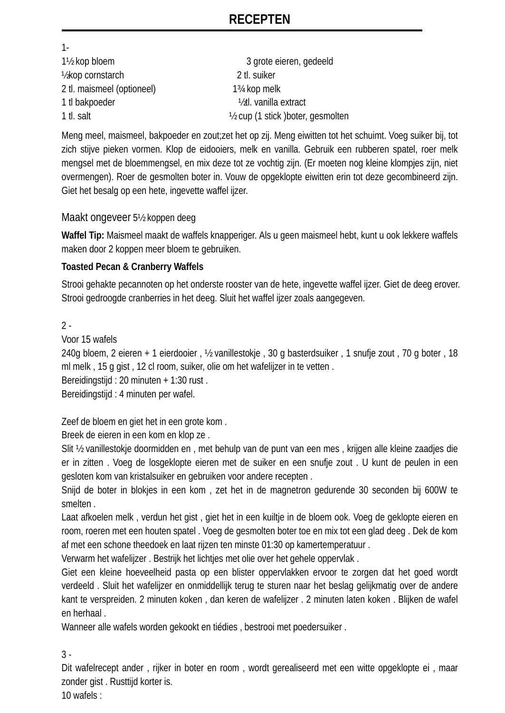## **RECEPTEN**

1- 1½ kop bloem 3 grote eieren, gedeeld ½kop cornstarch 2 tl. suiker 2 tl. maismeel (optioneel) 1¾ kop melk 1 tl bakpoeder ½tl. vanilla extract 1 tl. salt ½ cup (1 stick )boter, gesmolten

Meng meel, maismeel, bakpoeder en zout;zet het op zij. Meng eiwitten tot het schuimt. Voeg suiker bij, tot zich stijve pieken vormen. Klop de eidooiers, melk en vanilla. Gebruik een rubberen spatel, roer melk mengsel met de bloemmengsel, en mix deze tot ze vochtig zijn. (Er moeten nog kleine klompjes zijn, niet overmengen). Roer de gesmolten boter in. Vouw de opgeklopte eiwitten erin tot deze gecombineerd zijn. Giet het besalg op een hete, ingevette waffel ijzer.

#### Maakt ongeveer 5½ koppen deeg

**Waffel Tip:** Maismeel maakt de waffels knapperiger. Als u geen maismeel hebt, kunt u ook lekkere waffels maken door 2 koppen meer bloem te gebruiken.

#### **Toasted Pecan & Cranberry Waffels**

Strooi gehakte pecannoten op het onderste rooster van de hete, ingevette waffel ijzer. Giet de deeg erover. Strooi gedroogde cranberries in het deeg. Sluit het waffel ijzer zoals aangegeven.

#### 2 -

Voor 15 wafels

240g bloem, 2 eieren + 1 eierdooier , ½ vanillestokje , 30 g basterdsuiker , 1 snufje zout , 70 g boter , 18 ml melk , 15 g gist , 12 cl room, suiker, olie om het wafelijzer in te vetten .

Bereidingstijd : 20 minuten + 1:30 rust .

Bereidingstijd : 4 minuten per wafel.

Zeef de bloem en giet het in een grote kom .

Breek de eieren in een kom en klop ze .

Slit ½ vanillestokje doormidden en , met behulp van de punt van een mes , krijgen alle kleine zaadjes die er in zitten . Voeg de losgeklopte eieren met de suiker en een snufje zout . U kunt de peulen in een gesloten kom van kristalsuiker en gebruiken voor andere recepten .

Snijd de boter in blokjes in een kom , zet het in de magnetron gedurende 30 seconden bij 600W te smelten .

Laat afkoelen melk , verdun het gist , giet het in een kuiltje in de bloem ook. Voeg de geklopte eieren en room, roeren met een houten spatel . Voeg de gesmolten boter toe en mix tot een glad deeg . Dek de kom af met een schone theedoek en laat rijzen ten minste 01:30 op kamertemperatuur .

Verwarm het wafelijzer . Bestrijk het lichtjes met olie over het gehele oppervlak .

Giet een kleine hoeveelheid pasta op een blister oppervlakken ervoor te zorgen dat het goed wordt verdeeld . Sluit het wafelijzer en onmiddellijk terug te sturen naar het beslag gelijkmatig over de andere kant te verspreiden. 2 minuten koken , dan keren de wafelijzer . 2 minuten laten koken . Blijken de wafel en herhaal .

Wanneer alle wafels worden gekookt en tiédies , bestrooi met poedersuiker .

3 -

Dit wafelrecept ander , rijker in boter en room , wordt gerealiseerd met een witte opgeklopte ei , maar zonder gist . Rusttijd korter is.

10 wafels :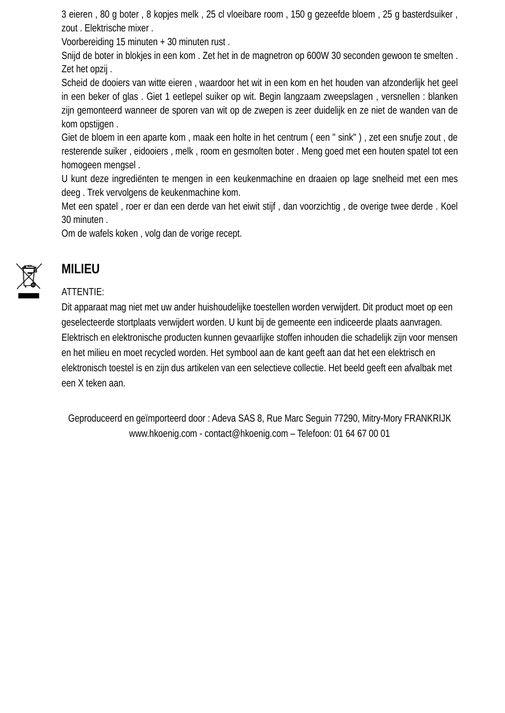3 eieren , 80 g boter , 8 kopjes melk , 25 cl vloeibare room , 150 g gezeefde bloem , 25 g basterdsuiker , zout . Elektrische mixer .

Voorbereiding 15 minuten + 30 minuten rust .

Snijd de boter in blokjes in een kom . Zet het in de magnetron op 600W 30 seconden gewoon te smelten . Zet het opzij .

Scheid de dooiers van witte eieren , waardoor het wit in een kom en het houden van afzonderlijk het geel in een beker of glas . Giet 1 eetlepel suiker op wit. Begin langzaam zweepslagen , versnellen : blanken zijn gemonteerd wanneer de sporen van wit op de zwepen is zeer duidelijk en ze niet de wanden van de kom opstijgen .

Giet de bloem in een aparte kom , maak een holte in het centrum ( een " sink" ) , zet een snufje zout , de resterende suiker , eidooiers , melk , room en gesmolten boter . Meng goed met een houten spatel tot een homogeen mengsel .

U kunt deze ingrediënten te mengen in een keukenmachine en draaien op lage snelheid met een mes deeg . Trek vervolgens de keukenmachine kom.

Met een spatel , roer er dan een derde van het eiwit stijf , dan voorzichtig , de overige twee derde . Koel 30 minuten .

Om de wafels koken , volg dan de vorige recept.



## **MILIEU**

#### ATTENTIE:

Dit apparaat mag niet met uw ander huishoudelijke toestellen worden verwijdert. Dit product moet op een geselecteerde stortplaats verwijdert worden. U kunt bij de gemeente een indiceerde plaats aanvragen. Elektrisch en elektronische producten kunnen gevaarlijke stoffen inhouden die schadelijk zijn voor mensen en het milieu en moet recycled worden. Het symbool aan de kant geeft aan dat het een elektrisch en elektronisch toestel is en zijn dus artikelen van een selectieve collectie. Het beeld geeft een afvalbak met een X teken aan.

Geproduceerd en geïmporteerd door : Adeva SAS 8, Rue Marc Seguin 77290, Mitry-Mory FRANKRIJK www.hkoenig.com - contact@hkoenig.com – Telefoon: 01 64 67 00 01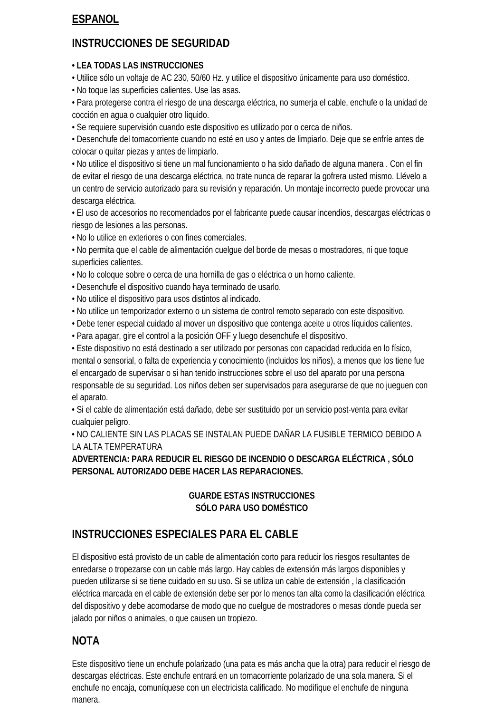## **ESPANOL**

# **INSTRUCCIONES DE SEGURIDAD**

#### **• LEA TODAS LAS INSTRUCCIONES**

• Utilice sólo un voltaje de AC 230, 50/60 Hz. y utilice el dispositivo únicamente para uso doméstico.

• No toque las superficies calientes. Use las asas.

• Para protegerse contra el riesgo de una descarga eléctrica, no sumerja el cable, enchufe o la unidad de cocción en agua o cualquier otro líquido.

• Se requiere supervisión cuando este dispositivo es utilizado por o cerca de niños.

• Desenchufe del tomacorriente cuando no esté en uso y antes de limpiarlo. Deje que se enfríe antes de colocar o quitar piezas y antes de limpiarlo.

• No utilice el dispositivo si tiene un mal funcionamiento o ha sido dañado de alguna manera . Con el fin de evitar el riesgo de una descarga eléctrica, no trate nunca de reparar la gofrera usted mismo. Llévelo a un centro de servicio autorizado para su revisión y reparación. Un montaje incorrecto puede provocar una descarga eléctrica.

• El uso de accesorios no recomendados por el fabricante puede causar incendios, descargas eléctricas o riesgo de lesiones a las personas.

• No lo utilice en exteriores o con fines comerciales.

• No permita que el cable de alimentación cuelgue del borde de mesas o mostradores, ni que toque superficies calientes.

• No lo coloque sobre o cerca de una hornilla de gas o eléctrica o un horno caliente.

• Desenchufe el dispositivo cuando haya terminado de usarlo.

• No utilice el dispositivo para usos distintos al indicado.

• No utilice un temporizador externo o un sistema de control remoto separado con este dispositivo.

• Debe tener especial cuidado al mover un dispositivo que contenga aceite u otros líquidos calientes.

• Para apagar, gire el control a la posición OFF y luego desenchufe el dispositivo.

• Este dispositivo no está destinado a ser utilizado por personas con capacidad reducida en lo físico, mental o sensorial, o falta de experiencia y conocimiento (incluidos los niños), a menos que los tiene fue el encargado de supervisar o si han tenido instrucciones sobre el uso del aparato por una persona responsable de su seguridad. Los niños deben ser supervisados para asegurarse de que no jueguen con el aparato.

• Si el cable de alimentación está dañado, debe ser sustituido por un servicio post-venta para evitar cualquier peligro.

• NO CALIENTE SIN LAS PLACAS SE INSTALAN PUEDE DAÑAR LA FUSIBLE TERMICO DEBIDO A LA ALTA TEMPERATURA

#### **ADVERTENCIA: PARA REDUCIR EL RIESGO DE INCENDIO O DESCARGA ELÉCTRICA , SÓLO PERSONAL AUTORIZADO DEBE HACER LAS REPARACIONES.**

#### **GUARDE ESTAS INSTRUCCIONES SÓLO PARA USO DOMÉSTICO**

# **INSTRUCCIONES ESPECIALES PARA EL CABLE**

El dispositivo está provisto de un cable de alimentación corto para reducir los riesgos resultantes de enredarse o tropezarse con un cable más largo. Hay cables de extensión más largos disponibles y pueden utilizarse si se tiene cuidado en su uso. Si se utiliza un cable de extensión , la clasificación eléctrica marcada en el cable de extensión debe ser por lo menos tan alta como la clasificación eléctrica del dispositivo y debe acomodarse de modo que no cuelgue de mostradores o mesas donde pueda ser jalado por niños o animales, o que causen un tropiezo.

## **NOTA**

Este dispositivo tiene un enchufe polarizado (una pata es más ancha que la otra) para reducir el riesgo de descargas eléctricas. Este enchufe entrará en un tomacorriente polarizado de una sola manera. Si el enchufe no encaja, comuníquese con un electricista calificado. No modifique el enchufe de ninguna manera.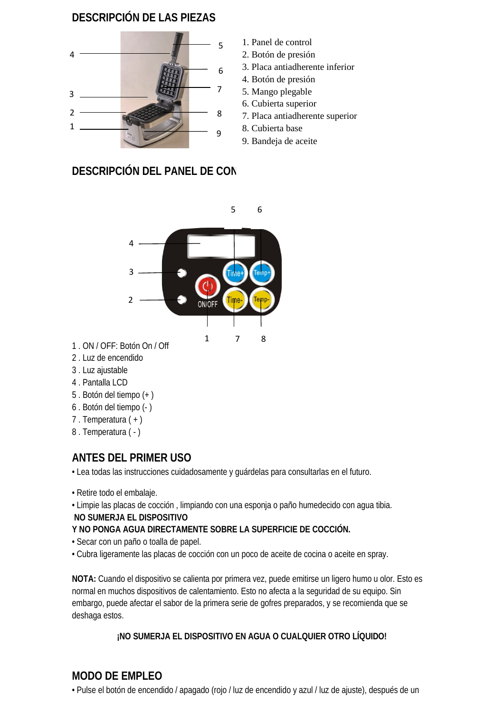## **DESCRIPCIÓN DE LAS PIEZAS**



- 1. Panel de control
- 2. Botón de presión
- 3. Placa antiadherente inferior
- 4. Botón de presión
- 5. Mango plegable
- 6. Cubierta superior
- 7. Placa antiadherente superior
- 8. Cubierta base
- 9. Bandeja de aceite

# **DESCRIPCIÓN DEL PANEL DE CONTROLL**



- 1 . ON / OFF: Botón On / Off
- 2 . Luz de encendido
- 3 . Luz ajustable
- 4 . Pantalla LCD
- 5 . Botón del tiempo (+ )
- 6 . Botón del tiempo (- )
- 7 . Temperatura ( + )
- 8 . Temperatura ( )

# **ANTES DEL PRIMER USO**

• Lea todas las instrucciones cuidadosamente y guárdelas para consultarlas en el futuro.

- Retire todo el embalaje.
- Limpie las placas de cocción , limpiando con una esponja o paño humedecido con agua tibia.

## **NO SUMERJA EL DISPOSITIVO**

## **Y NO PONGA AGUA DIRECTAMENTE SOBRE LA SUPERFICIE DE COCCIÓN.**

- Secar con un paño o toalla de papel.
- Cubra ligeramente las placas de cocción con un poco de aceite de cocina o aceite en spray.

**NOTA:** Cuando el dispositivo se calienta por primera vez, puede emitirse un ligero humo u olor. Esto es normal en muchos dispositivos de calentamiento. Esto no afecta a la seguridad de su equipo. Sin embargo, puede afectar el sabor de la primera serie de gofres preparados, y se recomienda que se deshaga estos.

## **¡NO SUMERJA EL DISPOSITIVO EN AGUA O CUALQUIER OTRO LÍQUIDO!**

# **MODO DE EMPLEO**

• Pulse el botón de encendido / apagado (rojo / luz de encendido y azul / luz de ajuste), después de un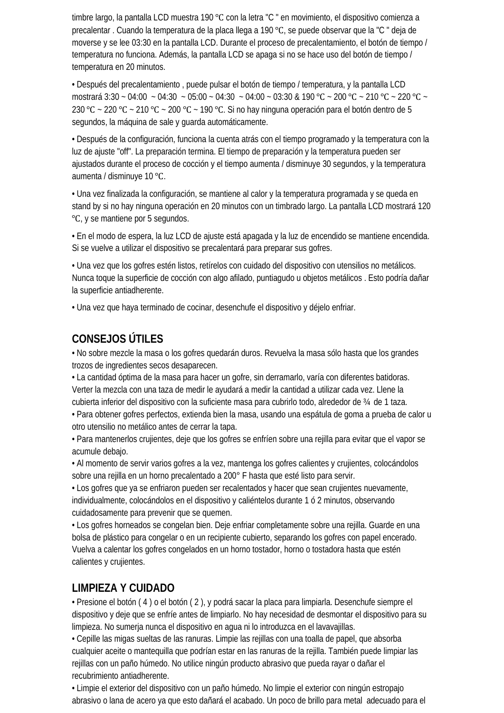timbre largo, la pantalla LCD muestra 190 ℃ con la letra "C " en movimiento, el dispositivo comienza a precalentar . Cuando la temperatura de la placa llega a 190 ℃, se puede observar que la "C " deja de moverse y se lee 03:30 en la pantalla LCD. Durante el proceso de precalentamiento, el botón de tiempo / temperatura no funciona. Además, la pantalla LCD se apaga si no se hace uso del botón de tiempo / temperatura en 20 minutos.

• Después del precalentamiento , puede pulsar el botón de tiempo / temperatura, y la pantalla LCD mostrará 3:30 ~ 04:00 ~ 04:30 ~ 05:00 ~ 04:30 ~ 04:00 ~ 03:30 & 190 ℃ ~ 200 ℃ ~ 210 ℃ ~ 220 ℃ ~ 230 °C ~ 220 °C ~ 210 °C ~ 200 °C ~ 190 °C. Si no hay ninguna operación para el botón dentro de 5 segundos, la máquina de sale y guarda automáticamente.

• Después de la configuración, funciona la cuenta atrás con el tiempo programado y la temperatura con la luz de ajuste "off". La preparación termina. El tiempo de preparación y la temperatura pueden ser ajustados durante el proceso de cocción y el tiempo aumenta / disminuye 30 segundos, y la temperatura aumenta / disminuye 10 ℃.

• Una vez finalizada la configuración, se mantiene al calor y la temperatura programada y se queda en stand by si no hay ninguna operación en 20 minutos con un timbrado largo. La pantalla LCD mostrará 120 ℃, y se mantiene por 5 segundos.

• En el modo de espera, la luz LCD de ajuste está apagada y la luz de encendido se mantiene encendida. Si se vuelve a utilizar el dispositivo se precalentará para preparar sus gofres.

• Una vez que los gofres estén listos, retírelos con cuidado del dispositivo con utensilios no metálicos. Nunca toque la superficie de cocción con algo afilado, puntiagudo u objetos metálicos . Esto podría dañar la superficie antiadherente.

• Una vez que haya terminado de cocinar, desenchufe el dispositivo y déjelo enfriar.

## **CONSEJOS ÚTILES**

• No sobre mezcle la masa o los gofres quedarán duros. Revuelva la masa sólo hasta que los grandes trozos de ingredientes secos desaparecen.

• La cantidad óptima de la masa para hacer un gofre, sin derramarlo, varía con diferentes batidoras. Verter la mezcla con una taza de medir le ayudará a medir la cantidad a utilizar cada vez. Llene la cubierta inferior del dispositivo con la suficiente masa para cubrirlo todo, alrededor de ¾ de 1 taza.

• Para obtener gofres perfectos, extienda bien la masa, usando una espátula de goma a prueba de calor u otro utensilio no metálico antes de cerrar la tapa.

• Para mantenerlos crujientes, deje que los gofres se enfríen sobre una rejilla para evitar que el vapor se acumule debajo.

• Al momento de servir varios gofres a la vez, mantenga los gofres calientes y crujientes, colocándolos sobre una rejilla en un horno precalentado a 200° F hasta que esté listo para servir.

• Los gofres que ya se enfriaron pueden ser recalentados y hacer que sean crujientes nuevamente, individualmente, colocándolos en el dispositivo y caliéntelos durante 1 ó 2 minutos, observando cuidadosamente para prevenir que se quemen.

• Los gofres horneados se congelan bien. Deje enfriar completamente sobre una rejilla. Guarde en una bolsa de plástico para congelar o en un recipiente cubierto, separando los gofres con papel encerado. Vuelva a calentar los gofres congelados en un horno tostador, horno o tostadora hasta que estén calientes y crujientes.

## **LIMPIEZA Y CUIDADO**

• Presione el botón ( 4 ) o el botón ( 2 ), y podrá sacar la placa para limpiarla. Desenchufe siempre el dispositivo y deje que se enfríe antes de limpiarlo. No hay necesidad de desmontar el dispositivo para su limpieza. No sumerja nunca el dispositivo en agua ni lo introduzca en el lavavajillas.

• Cepille las migas sueltas de las ranuras. Limpie las rejillas con una toalla de papel, que absorba cualquier aceite o mantequilla que podrían estar en las ranuras de la rejilla. También puede limpiar las rejillas con un paño húmedo. No utilice ningún producto abrasivo que pueda rayar o dañar el recubrimiento antiadherente.

• Limpie el exterior del dispositivo con un paño húmedo. No limpie el exterior con ningún estropajo abrasivo o lana de acero ya que esto dañará el acabado. Un poco de brillo para metal adecuado para el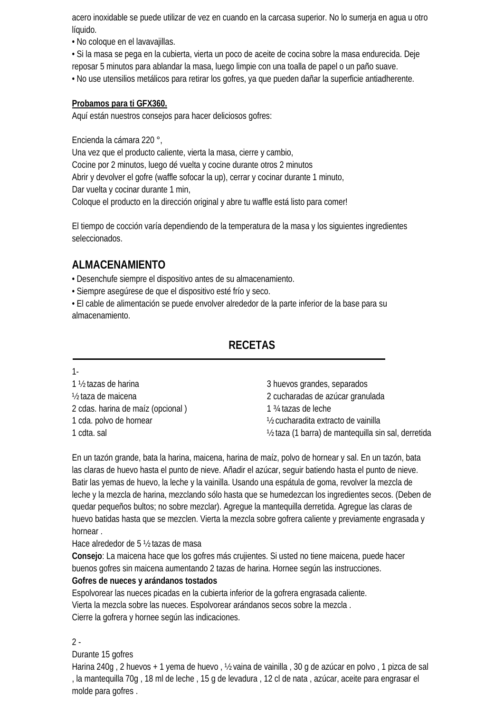acero inoxidable se puede utilizar de vez en cuando en la carcasa superior. No lo sumerja en agua u otro líquido.

• No coloque en el lavavajillas.

• Si la masa se pega en la cubierta, vierta un poco de aceite de cocina sobre la masa endurecida. Deje reposar 5 minutos para ablandar la masa, luego limpie con una toalla de papel o un paño suave. • No use utensilios metálicos para retirar los gofres, ya que pueden dañar la superficie antiadherente.

#### **Probamos para ti GFX360.**

Aquí están nuestros consejos para hacer deliciosos gofres:

Encienda la cámara 220 °,

Una vez que el producto caliente, vierta la masa, cierre y cambio, Cocine por 2 minutos, luego dé vuelta y cocine durante otros 2 minutos Abrir y devolver el gofre (waffle sofocar la up), cerrar y cocinar durante 1 minuto, Dar vuelta y cocinar durante 1 min, Coloque el producto en la dirección original y abre tu waffle está listo para comer!

El tiempo de cocción varía dependiendo de la temperatura de la masa y los siguientes ingredientes seleccionados.

## **ALMACENAMIENTO**

• Desenchufe siempre el dispositivo antes de su almacenamiento.

• Siempre asegúrese de que el dispositivo esté frío y seco.

• El cable de alimentación se puede envolver alrededor de la parte inferior de la base para su almacenamiento.

## **RECETAS**

| 1 ½ tazas de harina               | 3 huevos grandes, separados                          |  |
|-----------------------------------|------------------------------------------------------|--|
| 1/ <sub>2</sub> taza de maicena   | 2 cucharadas de azúcar granulada                     |  |
| 2 cdas. harina de maíz (opcional) | 1 3/4 tazas de leche                                 |  |
| 1 cda. polvo de hornear           | 1/2 cucharadita extracto de vainilla                 |  |
| 1 cdta. sal                       | 1/2 taza (1 barra) de mantequilla sin sal, derretida |  |
|                                   |                                                      |  |

En un tazón grande, bata la harina, maicena, harina de maíz, polvo de hornear y sal. En un tazón, bata las claras de huevo hasta el punto de nieve. Añadir el azúcar, seguir batiendo hasta el punto de nieve. Batir las yemas de huevo, la leche y la vainilla. Usando una espátula de goma, revolver la mezcla de leche y la mezcla de harina, mezclando sólo hasta que se humedezcan los ingredientes secos. (Deben de quedar pequeños bultos; no sobre mezclar). Agregue la mantequilla derretida. Agregue las claras de huevo batidas hasta que se mezclen. Vierta la mezcla sobre gofrera caliente y previamente engrasada y hornear .

Hace alrededor de 5 ½ tazas de masa

**Consejo**: La maicena hace que los gofres más crujientes. Si usted no tiene maicena, puede hacer buenos gofres sin maicena aumentando 2 tazas de harina. Hornee según las instrucciones.

#### **Gofres de nueces y arándanos tostados**

Espolvorear las nueces picadas en la cubierta inferior de la gofrera engrasada caliente. Vierta la mezcla sobre las nueces. Espolvorear arándanos secos sobre la mezcla . Cierre la gofrera y hornee según las indicaciones.

#### $2 -$

1-

Durante 15 gofres

Harina 240g , 2 huevos + 1 yema de huevo , ½ vaina de vainilla , 30 g de azúcar en polvo , 1 pizca de sal , la mantequilla 70g , 18 ml de leche , 15 g de levadura , 12 cl de nata , azúcar, aceite para engrasar el molde para gofres .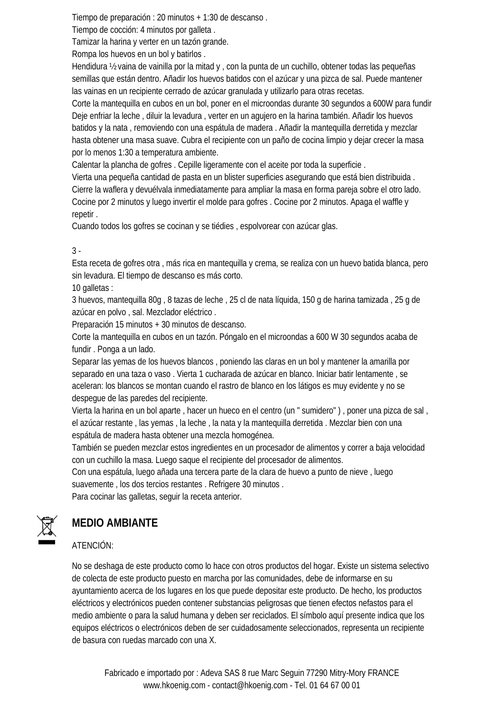Tiempo de preparación : 20 minutos + 1:30 de descanso .

Tiempo de cocción: 4 minutos por galleta .

Tamizar la harina y verter en un tazón grande.

Rompa los huevos en un bol y batirlos .

Hendidura ½ vaina de vainilla por la mitad y , con la punta de un cuchillo, obtener todas las pequeñas semillas que están dentro. Añadir los huevos batidos con el azúcar y una pizca de sal. Puede mantener las vainas en un recipiente cerrado de azúcar granulada y utilizarlo para otras recetas.

Corte la mantequilla en cubos en un bol, poner en el microondas durante 30 segundos a 600W para fundir Deje enfriar la leche , diluir la levadura , verter en un agujero en la harina también. Añadir los huevos batidos y la nata , removiendo con una espátula de madera . Añadir la mantequilla derretida y mezclar hasta obtener una masa suave. Cubra el recipiente con un paño de cocina limpio y dejar crecer la masa por lo menos 1:30 a temperatura ambiente.

Calentar la plancha de gofres . Cepille ligeramente con el aceite por toda la superficie .

Vierta una pequeña cantidad de pasta en un blister superficies asegurando que está bien distribuida . Cierre la waflera y devuélvala inmediatamente para ampliar la masa en forma pareja sobre el otro lado. Cocine por 2 minutos y luego invertir el molde para gofres . Cocine por 2 minutos. Apaga el waffle y repetir .

Cuando todos los gofres se cocinan y se tiédies , espolvorear con azúcar glas.

#### 3 -

Esta receta de gofres otra , más rica en mantequilla y crema, se realiza con un huevo batida blanca, pero sin levadura. El tiempo de descanso es más corto.

10 galletas :

3 huevos, mantequilla 80g , 8 tazas de leche , 25 cl de nata líquida, 150 g de harina tamizada , 25 g de azúcar en polvo , sal. Mezclador eléctrico .

Preparación 15 minutos + 30 minutos de descanso.

Corte la mantequilla en cubos en un tazón. Póngalo en el microondas a 600 W 30 segundos acaba de fundir . Ponga a un lado.

Separar las yemas de los huevos blancos , poniendo las claras en un bol y mantener la amarilla por separado en una taza o vaso . Vierta 1 cucharada de azúcar en blanco. Iniciar batir lentamente , se aceleran: los blancos se montan cuando el rastro de blanco en los látigos es muy evidente y no se despegue de las paredes del recipiente.

Vierta la harina en un bol aparte , hacer un hueco en el centro (un " sumidero" ) , poner una pizca de sal , el azúcar restante , las yemas , la leche , la nata y la mantequilla derretida . Mezclar bien con una espátula de madera hasta obtener una mezcla homogénea.

También se pueden mezclar estos ingredientes en un procesador de alimentos y correr a baja velocidad con un cuchillo la masa. Luego saque el recipiente del procesador de alimentos.

Con una espátula, luego añada una tercera parte de la clara de huevo a punto de nieve , luego suavemente , los dos tercios restantes . Refrigere 30 minutos .

Para cocinar las galletas, seguir la receta anterior.



# **MEDIO AMBIANTE**

## ATENCIÓN:

No se deshaga de este producto como lo hace con otros productos del hogar. Existe un sistema selectivo de colecta de este producto puesto en marcha por las comunidades, debe de informarse en su ayuntamiento acerca de los lugares en los que puede depositar este producto. De hecho, los productos eléctricos y electrónicos pueden contener substancias peligrosas que tienen efectos nefastos para el medio ambiente o para la salud humana y deben ser reciclados. El símbolo aquí presente indica que los equipos eléctricos o electrónicos deben de ser cuidadosamente seleccionados, representa un recipiente de basura con ruedas marcado con una X.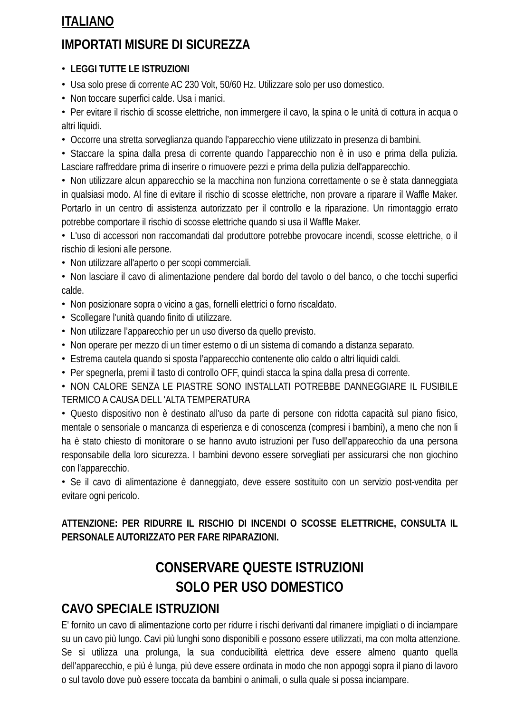# **ITALIANO**

# **IMPORTATI MISURE DI SICUREZZA**

#### • **LEGGI TUTTE LE ISTRUZIONI**

• Usa solo prese di corrente AC 230 Volt, 50/60 Hz. Utilizzare solo per uso domestico.

• Non toccare superfici calde. Usa i manici.

• Per evitare il rischio di scosse elettriche, non immergere il cavo, la spina o le unità di cottura in acqua o altri liquidi.

• Occorre una stretta sorveglianza quando l'apparecchio viene utilizzato in presenza di bambini.

• Staccare la spina dalla presa di corrente quando l'apparecchio non è in uso e prima della pulizia. Lasciare raffreddare prima di inserire o rimuovere pezzi e prima della pulizia dell'apparecchio.

• Non utilizzare alcun apparecchio se la macchina non funziona correttamente o se è stata danneggiata in qualsiasi modo. Al fine di evitare il rischio di scosse elettriche, non provare a riparare il Waffle Maker. Portarlo in un centro di assistenza autorizzato per il controllo e la riparazione. Un rimontaggio errato potrebbe comportare il rischio di scosse elettriche quando si usa il Waffle Maker.

• L'uso di accessori non raccomandati dal produttore potrebbe provocare incendi, scosse elettriche, o il rischio di lesioni alle persone.

- Non utilizzare all'aperto o per scopi commerciali.
- Non lasciare il cavo di alimentazione pendere dal bordo del tavolo o del banco, o che tocchi superfici calde.
- Non posizionare sopra o vicino a gas, fornelli elettrici o forno riscaldato.
- Scollegare l'unità quando finito di utilizzare.
- Non utilizzare l'apparecchio per un uso diverso da quello previsto.
- Non operare per mezzo di un timer esterno o di un sistema di comando a distanza separato.
- Estrema cautela quando si sposta l'apparecchio contenente olio caldo o altri liquidi caldi.
- Per spegnerla, premi il tasto di controllo OFF, quindi stacca la spina dalla presa di corrente.

• NON CALORE SENZA LE PIASTRE SONO INSTALLATI POTREBBE DANNEGGIARE IL FUSIBILE TERMICO A CAUSA DELL 'ALTA TEMPERATURA

• Questo dispositivo non è destinato all'uso da parte di persone con ridotta capacità sul piano fisico, mentale o sensoriale o mancanza di esperienza e di conoscenza (compresi i bambini), a meno che non li ha è stato chiesto di monitorare o se hanno avuto istruzioni per l'uso dell'apparecchio da una persona responsabile della loro sicurezza. I bambini devono essere sorvegliati per assicurarsi che non giochino con l'apparecchio.

• Se il cavo di alimentazione è danneggiato, deve essere sostituito con un servizio post-vendita per evitare ogni pericolo.

**ATTENZIONE: PER RIDURRE IL RISCHIO DI INCENDI O SCOSSE ELETTRICHE, CONSULTA IL PERSONALE AUTORIZZATO PER FARE RIPARAZIONI.**

# **CONSERVARE QUESTE ISTRUZIONI SOLO PER USO DOMESTICO**

## **CAVO SPECIALE ISTRUZIONI**

E' fornito un cavo di alimentazione corto per ridurre i rischi derivanti dal rimanere impigliati o di inciampare su un cavo più lungo. Cavi più lunghi sono disponibili e possono essere utilizzati, ma con molta attenzione. Se si utilizza una prolunga, la sua conducibilità elettrica deve essere almeno quanto quella dell'apparecchio, e più è lunga, più deve essere ordinata in modo che non appoggi sopra il piano di lavoro o sul tavolo dove può essere toccata da bambini o animali, o sulla quale si possa inciampare.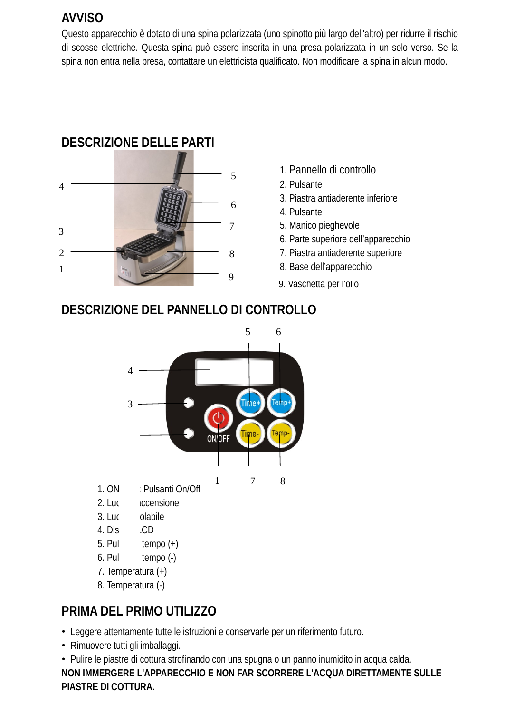# **AVVISO**

Questo apparecchio è dotato di una spina polarizzata (uno spinotto più largo dell'altro) per ridurre il rischio di scosse elettriche. Questa spina può essere inserita in una presa polarizzata in un solo verso. Se la spina non entra nella presa, contattare un elettricista qualificato. Non modificare la spina in alcun modo.

# **DESCRIZIONE DELLE PARTI**



- 1. Pannello di controllo
- 2. Pulsante
- 3. Piastra antiaderente inferiore
- 4. Pulsante
- 5. Manico pieghevole
- 6. Parte superiore dell'apparecchio
- 7. Piastra antiaderente superiore
- 
- 9. Vaschetta per l'olio

# **DESCRIZIONE DEL PANNELLO DI CONTROLLO**



- 
- 8. Temperatura (-)

# **PRIMA DEL PRIMO UTILIZZO**

- Leggere attentamente tutte le istruzioni e conservarle per un riferimento futuro.
- Rimuovere tutti gli imballaggi.

• Pulire le piastre di cottura strofinando con una spugna o un panno inumidito in acqua calda. **NON IMMERGERE L'APPARECCHIO E NON FAR SCORRERE L'ACQUA DIRETTAMENTE SULLE PIASTRE DI COTTURA.**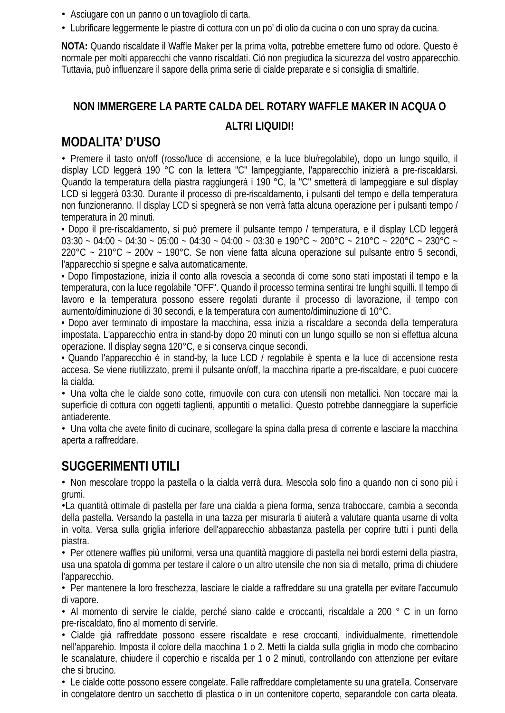- Asciugare con un panno o un tovagliolo di carta.
- Lubrificare leggermente le piastre di cottura con un po' di olio da cucina o con uno spray da cucina.

**NOTA:** Quando riscaldate il Waffle Maker per la prima volta, potrebbe emettere fumo od odore. Questo è normale per molti apparecchi che vanno riscaldati. Ciò non pregiudica la sicurezza del vostro apparecchio. Tuttavia, può influenzare il sapore della prima serie di cialde preparate e si consiglia di smaltirle.

#### **NON IMMERGERE LA PARTE CALDA DEL ROTARY WAFFLE MAKER IN ACQUA O**

#### **ALTRI LIQUIDI!**

## **MODALITA' D'USO**

• Premere il tasto on/off (rosso/luce di accensione, e la luce blu/regolabile), dopo un lungo squillo, il display LCD leggerà 190 °C con la lettera "C" lampeggiante, l'apparecchio inizierà a pre-riscaldarsi. Quando la temperatura della piastra raggiungerà i 190 °C, la "C" smetterà di lampeggiare e sul display LCD si leggerà 03:30. Durante il processo di pre-riscaldamento, i pulsanti del tempo e della temperatura non funzioneranno. Il display LCD si spegnerà se non verrà fatta alcuna operazione per i pulsanti tempo / temperatura in 20 minuti.

• Dopo il pre-riscaldamento, si può premere il pulsante tempo / temperatura, e il display LCD leggerà 03:30 ~ 04:00 ~ 04:30 ~ 05:00 ~ 04:30 ~ 04:00 ~ 03:30 e 190°C ~ 200°C ~ 210°C ~ 220°C ~ 230°C ~  $220^{\circ}$ C ~  $210^{\circ}$ C ~  $200v$  ~ 190°C. Se non viene fatta alcuna operazione sul pulsante entro 5 secondi, l'apparecchio si spegne e salva automaticamente.

• Dopo l'impostazione, inizia il conto alla rovescia a seconda di come sono stati impostati il tempo e la temperatura, con la luce regolabile "OFF". Quando il processo termina sentirai tre lunghi squilli. Il tempo di lavoro e la temperatura possono essere regolati durante il processo di lavorazione, il tempo con aumento/diminuzione di 30 secondi, e la temperatura con aumento/diminuzione di 10°C.

• Dopo aver terminato di impostare la macchina, essa inizia a riscaldare a seconda della temperatura impostata. L'apparecchio entra in stand-by dopo 20 minuti con un lungo squillo se non si effettua alcuna operazione. Il display segna 120°C, e si conserva cinque secondi.

• Quando l'apparecchio è in stand-by, la luce LCD / regolabile è spenta e la luce di accensione resta accesa. Se viene riutilizzato, premi il pulsante on/off, la macchina riparte a pre-riscaldare, e puoi cuocere la cialda.

• Una volta che le cialde sono cotte, rimuovile con cura con utensili non metallici. Non toccare mai la superficie di cottura con oggetti taglienti, appuntiti o metallici. Questo potrebbe danneggiare la superficie antiaderente.

• Una volta che avete finito di cucinare, scollegare la spina dalla presa di corrente e lasciare la macchina aperta a raffreddare.

## **SUGGERIMENTI UTILI**

• Non mescolare troppo la pastella o la cialda verrà dura. Mescola solo fino a quando non ci sono più i grumi.

•La quantità ottimale di pastella per fare una cialda a piena forma, senza traboccare, cambia a seconda della pastella. Versando la pastella in una tazza per misurarla ti aiuterà a valutare quanta usarne di volta in volta. Versa sulla griglia inferiore dell'apparecchio abbastanza pastella per coprire tutti i punti della piastra.

• Per ottenere waffles più uniformi, versa una quantità maggiore di pastella nei bordi esterni della piastra, usa una spatola di gomma per testare il calore o un altro utensile che non sia di metallo, prima di chiudere l'apparecchio.

• Per mantenere la loro freschezza, lasciare le cialde a raffreddare su una gratella per evitare l'accumulo di vapore.

• Al momento di servire le cialde, perché siano calde e croccanti, riscaldale a 200 ° C in un forno pre-riscaldato, fino al momento di servirle.

• Cialde già raffreddate possono essere riscaldate e rese croccanti, individualmente, rimettendole nell'apparehio. Imposta il colore della macchina 1 o 2. Metti la cialda sulla griglia in modo che combacino le scanalature, chiudere il coperchio e riscalda per 1 o 2 minuti, controllando con attenzione per evitare che si brucino.

• Le cialde cotte possono essere congelate. Falle raffreddare completamente su una gratella. Conservare in congelatore dentro un sacchetto di plastica o in un contenitore coperto, separandole con carta oleata.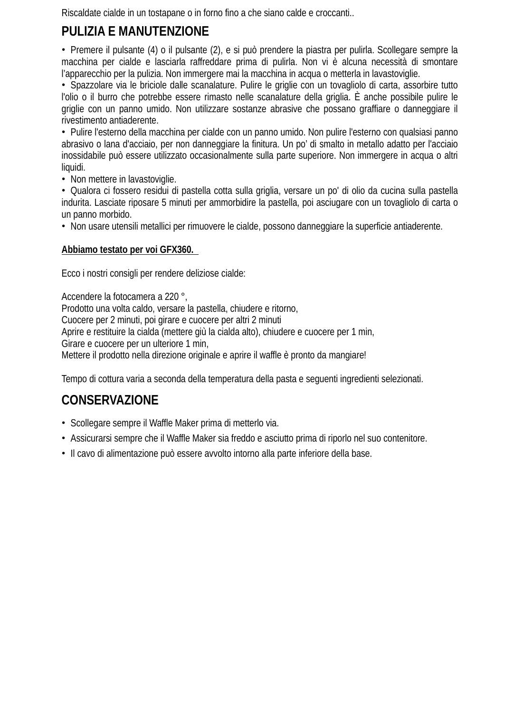Riscaldate cialde in un tostapane o in forno fino a che siano calde e croccanti..

# **PULIZIA E MANUTENZIONE**

• Premere il pulsante (4) o il pulsante (2), e si può prendere la piastra per pulirla. Scollegare sempre la macchina per cialde e lasciarla raffreddare prima di pulirla. Non vi è alcuna necessità di smontare l'apparecchio per la pulizia. Non immergere mai la macchina in acqua o metterla in lavastoviglie.

• Spazzolare via le briciole dalle scanalature. Pulire le griglie con un tovagliolo di carta, assorbire tutto l'olio o il burro che potrebbe essere rimasto nelle scanalature della griglia. È anche possibile pulire le griglie con un panno umido. Non utilizzare sostanze abrasive che possano graffiare o danneggiare il rivestimento antiaderente.

• Pulire l'esterno della macchina per cialde con un panno umido. Non pulire l'esterno con qualsiasi panno abrasivo o lana d'acciaio, per non danneggiare la finitura. Un po' di smalto in metallo adatto per l'acciaio inossidabile può essere utilizzato occasionalmente sulla parte superiore. Non immergere in acqua o altri liquidi.

• Non mettere in lavastoviglie.

• Qualora ci fossero residui di pastella cotta sulla griglia, versare un po' di olio da cucina sulla pastella indurita. Lasciate riposare 5 minuti per ammorbidire la pastella, poi asciugare con un tovagliolo di carta o un panno morbido.

• Non usare utensili metallici per rimuovere le cialde, possono danneggiare la superficie antiaderente.

#### **Abbiamo testato per voi GFX360.**

Ecco i nostri consigli per rendere deliziose cialde:

Accendere la fotocamera a 220 °, Prodotto una volta caldo, versare la pastella, chiudere e ritorno, Cuocere per 2 minuti, poi girare e cuocere per altri 2 minuti Aprire e restituire la cialda (mettere giù la cialda alto), chiudere e cuocere per 1 min, Girare e cuocere per un ulteriore 1 min, Mettere il prodotto nella direzione originale e aprire il waffle è pronto da mangiare!

Tempo di cottura varia a seconda della temperatura della pasta e seguenti ingredienti selezionati.

# **CONSERVAZIONE**

- Scollegare sempre il Waffle Maker prima di metterlo via.
- Assicurarsi sempre che il Waffle Maker sia freddo e asciutto prima di riporlo nel suo contenitore.
- Il cavo di alimentazione può essere avvolto intorno alla parte inferiore della base.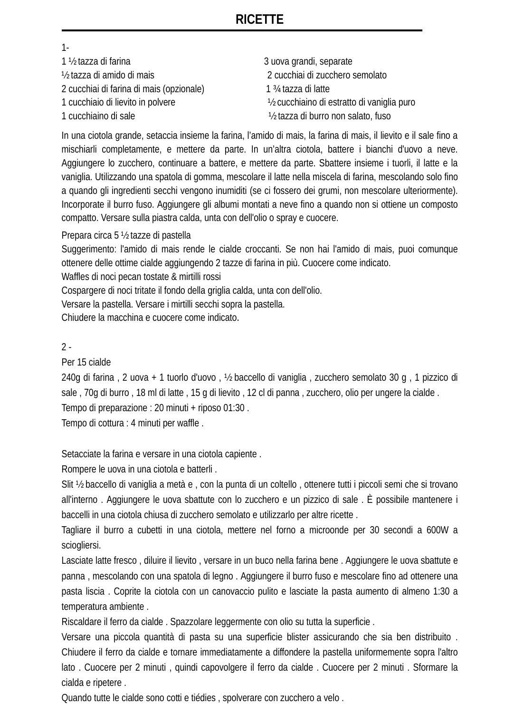## **RICETTE**

1- 1 ½ tazza di farina 3 uova grandi, separate ½ tazza di amido di mais 2 cucchiai di zucchero semolato 2 cucchiai di farina di mais (opzionale) 1 ¾ tazza di latte 1 cucchiaio di lievito in polvere ½ cucchiaino di estratto di vaniglia puro 1 cucchiaino di sale ½ tazza di burro non salato, fuso

In una ciotola grande, setaccia insieme la farina, l'amido di mais, la farina di mais, il lievito e il sale fino a mischiarli completamente, e mettere da parte. In un'altra ciotola, battere i bianchi d'uovo a neve. Aggiungere lo zucchero, continuare a battere, e mettere da parte. Sbattere insieme i tuorli, il latte e la vaniglia. Utilizzando una spatola di gomma, mescolare il latte nella miscela di farina, mescolando solo fino a quando gli ingredienti secchi vengono inumiditi (se ci fossero dei grumi, non mescolare ulteriormente). Incorporate il burro fuso. Aggiungere gli albumi montati a neve fino a quando non si ottiene un composto compatto. Versare sulla piastra calda, unta con dell'olio o spray e cuocere.

Prepara circa 5 ½ tazze di pastella

Suggerimento: l'amido di mais rende le cialde croccanti. Se non hai l'amido di mais, puoi comunque ottenere delle ottime cialde aggiungendo 2 tazze di farina in più. Cuocere come indicato.

Waffles di noci pecan tostate & mirtilli rossi

Cospargere di noci tritate il fondo della griglia calda, unta con dell'olio.

Versare la pastella. Versare i mirtilli secchi sopra la pastella.

Chiudere la macchina e cuocere come indicato.

#### $2 -$

Per 15 cialde

240g di farina , 2 uova + 1 tuorlo d'uovo , ½ baccello di vaniglia , zucchero semolato 30 g , 1 pizzico di sale , 70g di burro , 18 ml di latte , 15 g di lievito , 12 cl di panna , zucchero, olio per ungere la cialde . Tempo di preparazione : 20 minuti + riposo 01:30 .

Tempo di cottura : 4 minuti per waffle .

Setacciate la farina e versare in una ciotola capiente .

Rompere le uova in una ciotola e batterli .

Slit ½ baccello di vaniglia a metà e , con la punta di un coltello , ottenere tutti i piccoli semi che si trovano all'interno . Aggiungere le uova sbattute con lo zucchero e un pizzico di sale . È possibile mantenere i baccelli in una ciotola chiusa di zucchero semolato e utilizzarlo per altre ricette .

Tagliare il burro a cubetti in una ciotola, mettere nel forno a microonde per 30 secondi a 600W a sciogliersi.

Lasciate latte fresco , diluire il lievito , versare in un buco nella farina bene . Aggiungere le uova sbattute e panna , mescolando con una spatola di legno . Aggiungere il burro fuso e mescolare fino ad ottenere una pasta liscia . Coprite la ciotola con un canovaccio pulito e lasciate la pasta aumento di almeno 1:30 a temperatura ambiente .

Riscaldare il ferro da cialde . Spazzolare leggermente con olio su tutta la superficie .

Versare una piccola quantità di pasta su una superficie blister assicurando che sia ben distribuito . Chiudere il ferro da cialde e tornare immediatamente a diffondere la pastella uniformemente sopra l'altro lato . Cuocere per 2 minuti , quindi capovolgere il ferro da cialde . Cuocere per 2 minuti . Sformare la cialda e ripetere .

Quando tutte le cialde sono cotti e tiédies , spolverare con zucchero a velo .